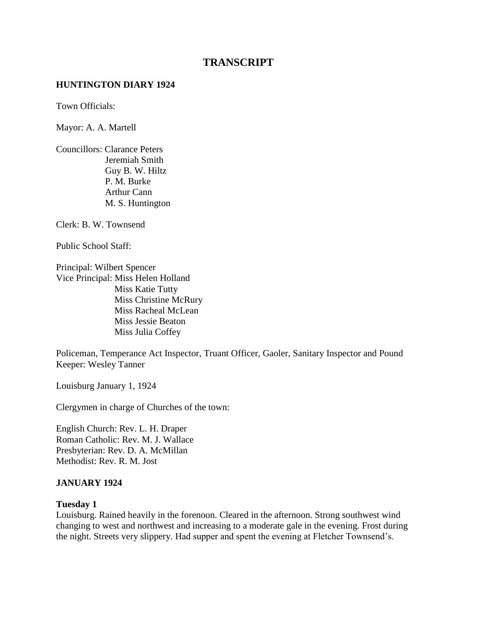# **TRANSCRIPT**

### **HUNTINGTON DIARY 1924**

Town Officials:

Mayor: A. A. Martell

Councillors: Clarance Peters Jeremiah Smith Guy B. W. Hiltz P. M. Burke Arthur Cann M. S. Huntington

Clerk: B. W. Townsend

Public School Staff:

Principal: Wilbert Spencer Vice Principal: Miss Helen Holland Miss Katie Tutty Miss Christine McRury Miss Racheal McLean Miss Jessie Beaton Miss Julia Coffey

Policeman, Temperance Act Inspector, Truant Officer, Gaoler, Sanitary Inspector and Pound Keeper: Wesley Tanner

Louisburg January 1, 1924

Clergymen in charge of Churches of the town:

English Church: Rev. L. H. Draper Roman Catholic: Rev. M. J. Wallace Presbyterian: Rev. D. A. McMillan Methodist: Rev. R. M. Jost

#### **JANUARY 1924**

#### **Tuesday 1**

Louisburg. Rained heavily in the forenoon. Cleared in the afternoon. Strong southwest wind changing to west and northwest and increasing to a moderate gale in the evening. Frost during the night. Streets very slippery. Had supper and spent the evening at Fletcher Townsend's.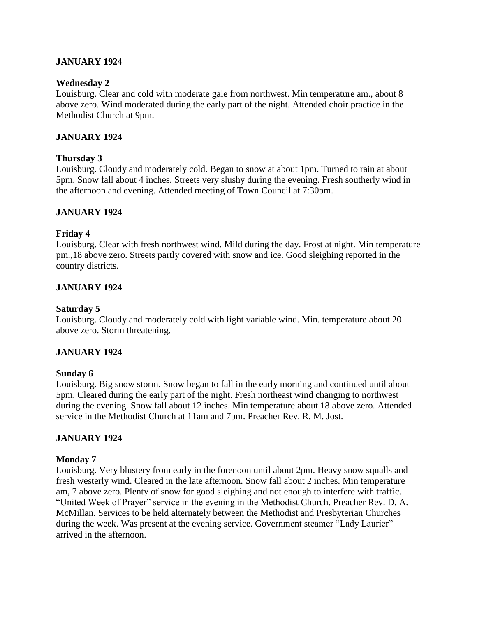## **JANUARY 1924**

### **Wednesday 2**

Louisburg. Clear and cold with moderate gale from northwest. Min temperature am., about 8 above zero. Wind moderated during the early part of the night. Attended choir practice in the Methodist Church at 9pm.

### **JANUARY 1924**

### **Thursday 3**

Louisburg. Cloudy and moderately cold. Began to snow at about 1pm. Turned to rain at about 5pm. Snow fall about 4 inches. Streets very slushy during the evening. Fresh southerly wind in the afternoon and evening. Attended meeting of Town Council at 7:30pm.

### **JANUARY 1924**

### **Friday 4**

Louisburg. Clear with fresh northwest wind. Mild during the day. Frost at night. Min temperature pm.,18 above zero. Streets partly covered with snow and ice. Good sleighing reported in the country districts.

### **JANUARY 1924**

### **Saturday 5**

Louisburg. Cloudy and moderately cold with light variable wind. Min. temperature about 20 above zero. Storm threatening.

### **JANUARY 1924**

#### **Sunday 6**

Louisburg. Big snow storm. Snow began to fall in the early morning and continued until about 5pm. Cleared during the early part of the night. Fresh northeast wind changing to northwest during the evening. Snow fall about 12 inches. Min temperature about 18 above zero. Attended service in the Methodist Church at 11am and 7pm. Preacher Rev. R. M. Jost.

### **JANUARY 1924**

#### **Monday 7**

Louisburg. Very blustery from early in the forenoon until about 2pm. Heavy snow squalls and fresh westerly wind. Cleared in the late afternoon. Snow fall about 2 inches. Min temperature am, 7 above zero. Plenty of snow for good sleighing and not enough to interfere with traffic. "United Week of Prayer" service in the evening in the Methodist Church. Preacher Rev. D. A. McMillan. Services to be held alternately between the Methodist and Presbyterian Churches during the week. Was present at the evening service. Government steamer "Lady Laurier" arrived in the afternoon.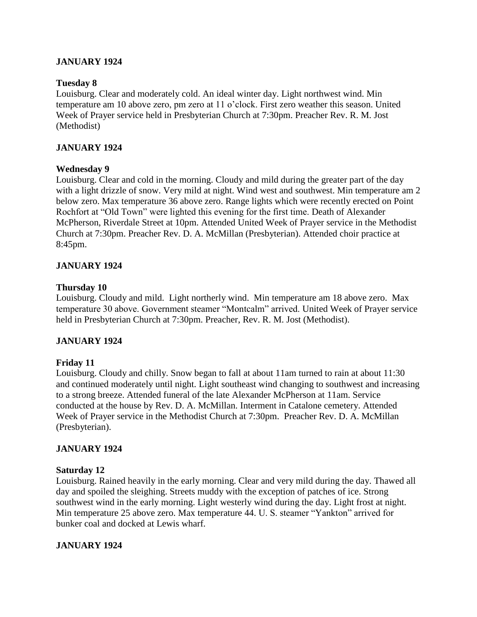## **JANUARY 1924**

### **Tuesday 8**

Louisburg. Clear and moderately cold. An ideal winter day. Light northwest wind. Min temperature am 10 above zero, pm zero at 11 o'clock. First zero weather this season. United Week of Prayer service held in Presbyterian Church at 7:30pm. Preacher Rev. R. M. Jost (Methodist)

## **JANUARY 1924**

### **Wednesday 9**

Louisburg. Clear and cold in the morning. Cloudy and mild during the greater part of the day with a light drizzle of snow. Very mild at night. Wind west and southwest. Min temperature am 2 below zero. Max temperature 36 above zero. Range lights which were recently erected on Point Rochfort at "Old Town" were lighted this evening for the first time. Death of Alexander McPherson, Riverdale Street at 10pm. Attended United Week of Prayer service in the Methodist Church at 7:30pm. Preacher Rev. D. A. McMillan (Presbyterian). Attended choir practice at 8:45pm.

## **JANUARY 1924**

### **Thursday 10**

Louisburg. Cloudy and mild. Light northerly wind. Min temperature am 18 above zero. Max temperature 30 above. Government steamer "Montcalm" arrived. United Week of Prayer service held in Presbyterian Church at 7:30pm. Preacher, Rev. R. M. Jost (Methodist).

### **JANUARY 1924**

### **Friday 11**

Louisburg. Cloudy and chilly. Snow began to fall at about 11am turned to rain at about 11:30 and continued moderately until night. Light southeast wind changing to southwest and increasing to a strong breeze. Attended funeral of the late Alexander McPherson at 11am. Service conducted at the house by Rev. D. A. McMillan. Interment in Catalone cemetery. Attended Week of Prayer service in the Methodist Church at 7:30pm. Preacher Rev. D. A. McMillan (Presbyterian).

### **JANUARY 1924**

#### **Saturday 12**

Louisburg. Rained heavily in the early morning. Clear and very mild during the day. Thawed all day and spoiled the sleighing. Streets muddy with the exception of patches of ice. Strong southwest wind in the early morning. Light westerly wind during the day. Light frost at night. Min temperature 25 above zero. Max temperature 44. U. S. steamer "Yankton" arrived for bunker coal and docked at Lewis wharf.

### **JANUARY 1924**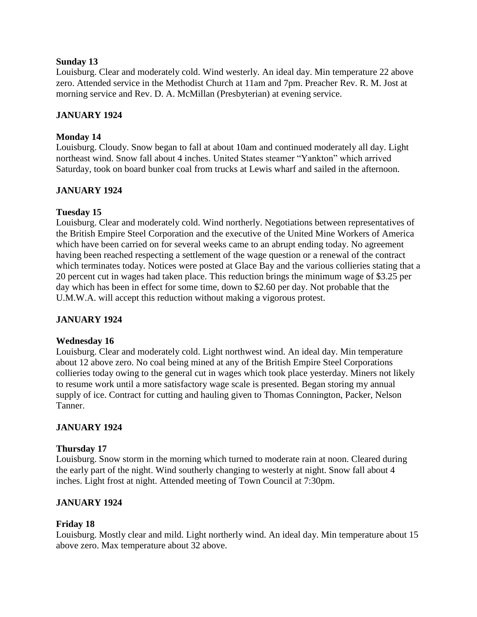### **Sunday 13**

Louisburg. Clear and moderately cold. Wind westerly. An ideal day. Min temperature 22 above zero. Attended service in the Methodist Church at 11am and 7pm. Preacher Rev. R. M. Jost at morning service and Rev. D. A. McMillan (Presbyterian) at evening service.

## **JANUARY 1924**

## **Monday 14**

Louisburg. Cloudy. Snow began to fall at about 10am and continued moderately all day. Light northeast wind. Snow fall about 4 inches. United States steamer "Yankton" which arrived Saturday, took on board bunker coal from trucks at Lewis wharf and sailed in the afternoon.

## **JANUARY 1924**

## **Tuesday 15**

Louisburg. Clear and moderately cold. Wind northerly. Negotiations between representatives of the British Empire Steel Corporation and the executive of the United Mine Workers of America which have been carried on for several weeks came to an abrupt ending today. No agreement having been reached respecting a settlement of the wage question or a renewal of the contract which terminates today. Notices were posted at Glace Bay and the various collieries stating that a 20 percent cut in wages had taken place. This reduction brings the minimum wage of \$3.25 per day which has been in effect for some time, down to \$2.60 per day. Not probable that the U.M.W.A. will accept this reduction without making a vigorous protest.

## **JANUARY 1924**

### **Wednesday 16**

Louisburg. Clear and moderately cold. Light northwest wind. An ideal day. Min temperature about 12 above zero. No coal being mined at any of the British Empire Steel Corporations collieries today owing to the general cut in wages which took place yesterday. Miners not likely to resume work until a more satisfactory wage scale is presented. Began storing my annual supply of ice. Contract for cutting and hauling given to Thomas Connington, Packer, Nelson Tanner.

## **JANUARY 1924**

### **Thursday 17**

Louisburg. Snow storm in the morning which turned to moderate rain at noon. Cleared during the early part of the night. Wind southerly changing to westerly at night. Snow fall about 4 inches. Light frost at night. Attended meeting of Town Council at 7:30pm.

## **JANUARY 1924**

### **Friday 18**

Louisburg. Mostly clear and mild. Light northerly wind. An ideal day. Min temperature about 15 above zero. Max temperature about 32 above.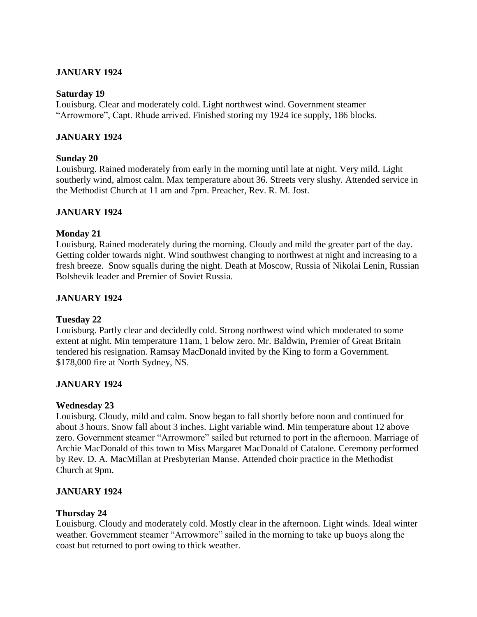## **JANUARY 1924**

### **Saturday 19**

Louisburg. Clear and moderately cold. Light northwest wind. Government steamer "Arrowmore", Capt. Rhude arrived. Finished storing my 1924 ice supply, 186 blocks.

### **JANUARY 1924**

### **Sunday 20**

Louisburg. Rained moderately from early in the morning until late at night. Very mild. Light southerly wind, almost calm. Max temperature about 36. Streets very slushy. Attended service in the Methodist Church at 11 am and 7pm. Preacher, Rev. R. M. Jost.

### **JANUARY 1924**

### **Monday 21**

Louisburg. Rained moderately during the morning. Cloudy and mild the greater part of the day. Getting colder towards night. Wind southwest changing to northwest at night and increasing to a fresh breeze. Snow squalls during the night. Death at Moscow, Russia of Nikolai Lenin, Russian Bolshevik leader and Premier of Soviet Russia.

## **JANUARY 1924**

### **Tuesday 22**

Louisburg. Partly clear and decidedly cold. Strong northwest wind which moderated to some extent at night. Min temperature 11am, 1 below zero. Mr. Baldwin, Premier of Great Britain tendered his resignation. Ramsay MacDonald invited by the King to form a Government. \$178,000 fire at North Sydney, NS.

### **JANUARY 1924**

### **Wednesday 23**

Louisburg. Cloudy, mild and calm. Snow began to fall shortly before noon and continued for about 3 hours. Snow fall about 3 inches. Light variable wind. Min temperature about 12 above zero. Government steamer "Arrowmore" sailed but returned to port in the afternoon. Marriage of Archie MacDonald of this town to Miss Margaret MacDonald of Catalone. Ceremony performed by Rev. D. A. MacMillan at Presbyterian Manse. Attended choir practice in the Methodist Church at 9pm.

### **JANUARY 1924**

### **Thursday 24**

Louisburg. Cloudy and moderately cold. Mostly clear in the afternoon. Light winds. Ideal winter weather. Government steamer "Arrowmore" sailed in the morning to take up buoys along the coast but returned to port owing to thick weather.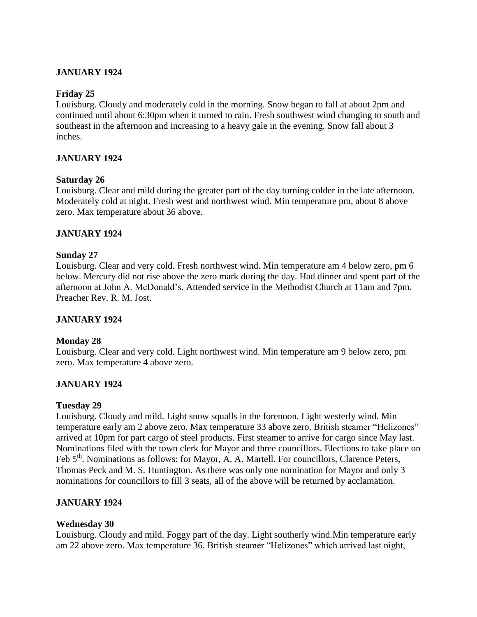## **JANUARY 1924**

### **Friday 25**

Louisburg. Cloudy and moderately cold in the morning. Snow began to fall at about 2pm and continued until about 6:30pm when it turned to rain. Fresh southwest wind changing to south and southeast in the afternoon and increasing to a heavy gale in the evening. Snow fall about 3 inches.

### **JANUARY 1924**

### **Saturday 26**

Louisburg. Clear and mild during the greater part of the day turning colder in the late afternoon. Moderately cold at night. Fresh west and northwest wind. Min temperature pm, about 8 above zero. Max temperature about 36 above.

### **JANUARY 1924**

## **Sunday 27**

Louisburg. Clear and very cold. Fresh northwest wind. Min temperature am 4 below zero, pm 6 below. Mercury did not rise above the zero mark during the day. Had dinner and spent part of the afternoon at John A. McDonald's. Attended service in the Methodist Church at 11am and 7pm. Preacher Rev. R. M. Jost.

### **JANUARY 1924**

### **Monday 28**

Louisburg. Clear and very cold. Light northwest wind. Min temperature am 9 below zero, pm zero. Max temperature 4 above zero.

### **JANUARY 1924**

### **Tuesday 29**

Louisburg. Cloudy and mild. Light snow squalls in the forenoon. Light westerly wind. Min temperature early am 2 above zero. Max temperature 33 above zero. British steamer "Helizones" arrived at 10pm for part cargo of steel products. First steamer to arrive for cargo since May last. Nominations filed with the town clerk for Mayor and three councillors. Elections to take place on Feb 5<sup>th</sup>. Nominations as follows: for Mayor, A. A. Martell. For councillors, Clarence Peters, Thomas Peck and M. S. Huntington. As there was only one nomination for Mayor and only 3 nominations for councillors to fill 3 seats, all of the above will be returned by acclamation.

### **JANUARY 1924**

### **Wednesday 30**

Louisburg. Cloudy and mild. Foggy part of the day. Light southerly wind.Min temperature early am 22 above zero. Max temperature 36. British steamer "Helizones" which arrived last night,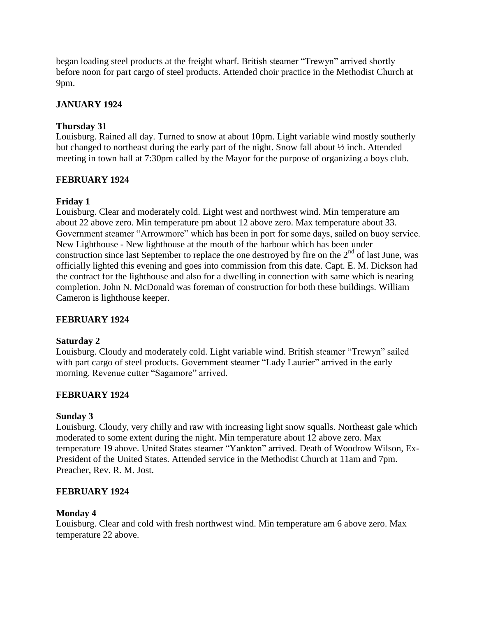began loading steel products at the freight wharf. British steamer "Trewyn" arrived shortly before noon for part cargo of steel products. Attended choir practice in the Methodist Church at 9pm.

# **JANUARY 1924**

# **Thursday 31**

Louisburg. Rained all day. Turned to snow at about 10pm. Light variable wind mostly southerly but changed to northeast during the early part of the night. Snow fall about ½ inch. Attended meeting in town hall at 7:30pm called by the Mayor for the purpose of organizing a boys club.

# **FEBRUARY 1924**

# **Friday 1**

Louisburg. Clear and moderately cold. Light west and northwest wind. Min temperature am about 22 above zero. Min temperature pm about 12 above zero. Max temperature about 33. Government steamer "Arrowmore" which has been in port for some days, sailed on buoy service. New Lighthouse - New lighthouse at the mouth of the harbour which has been under construction since last September to replace the one destroyed by fire on the  $2<sup>nd</sup>$  of last June, was officially lighted this evening and goes into commission from this date. Capt. E. M. Dickson had the contract for the lighthouse and also for a dwelling in connection with same which is nearing completion. John N. McDonald was foreman of construction for both these buildings. William Cameron is lighthouse keeper.

## **FEBRUARY 1924**

## **Saturday 2**

Louisburg. Cloudy and moderately cold. Light variable wind. British steamer "Trewyn" sailed with part cargo of steel products. Government steamer "Lady Laurier" arrived in the early morning. Revenue cutter "Sagamore" arrived.

## **FEBRUARY 1924**

## **Sunday 3**

Louisburg. Cloudy, very chilly and raw with increasing light snow squalls. Northeast gale which moderated to some extent during the night. Min temperature about 12 above zero. Max temperature 19 above. United States steamer "Yankton" arrived. Death of Woodrow Wilson, Ex-President of the United States. Attended service in the Methodist Church at 11am and 7pm. Preacher, Rev. R. M. Jost.

## **FEBRUARY 1924**

## **Monday 4**

Louisburg. Clear and cold with fresh northwest wind. Min temperature am 6 above zero. Max temperature 22 above.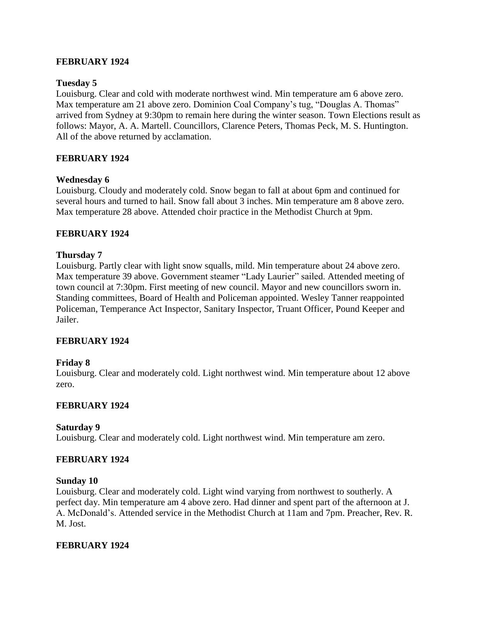### **FEBRUARY 1924**

### **Tuesday 5**

Louisburg. Clear and cold with moderate northwest wind. Min temperature am 6 above zero. Max temperature am 21 above zero. Dominion Coal Company's tug, "Douglas A. Thomas" arrived from Sydney at 9:30pm to remain here during the winter season. Town Elections result as follows: Mayor, A. A. Martell. Councillors, Clarence Peters, Thomas Peck, M. S. Huntington. All of the above returned by acclamation.

## **FEBRUARY 1924**

### **Wednesday 6**

Louisburg. Cloudy and moderately cold. Snow began to fall at about 6pm and continued for several hours and turned to hail. Snow fall about 3 inches. Min temperature am 8 above zero. Max temperature 28 above. Attended choir practice in the Methodist Church at 9pm.

## **FEBRUARY 1924**

## **Thursday 7**

Louisburg. Partly clear with light snow squalls, mild. Min temperature about 24 above zero. Max temperature 39 above. Government steamer "Lady Laurier" sailed. Attended meeting of town council at 7:30pm. First meeting of new council. Mayor and new councillors sworn in. Standing committees, Board of Health and Policeman appointed. Wesley Tanner reappointed Policeman, Temperance Act Inspector, Sanitary Inspector, Truant Officer, Pound Keeper and Jailer.

### **FEBRUARY 1924**

### **Friday 8**

Louisburg. Clear and moderately cold. Light northwest wind. Min temperature about 12 above zero.

### **FEBRUARY 1924**

### **Saturday 9**

Louisburg. Clear and moderately cold. Light northwest wind. Min temperature am zero.

### **FEBRUARY 1924**

### **Sunday 10**

Louisburg. Clear and moderately cold. Light wind varying from northwest to southerly. A perfect day. Min temperature am 4 above zero. Had dinner and spent part of the afternoon at J. A. McDonald's. Attended service in the Methodist Church at 11am and 7pm. Preacher, Rev. R. M. Jost.

### **FEBRUARY 1924**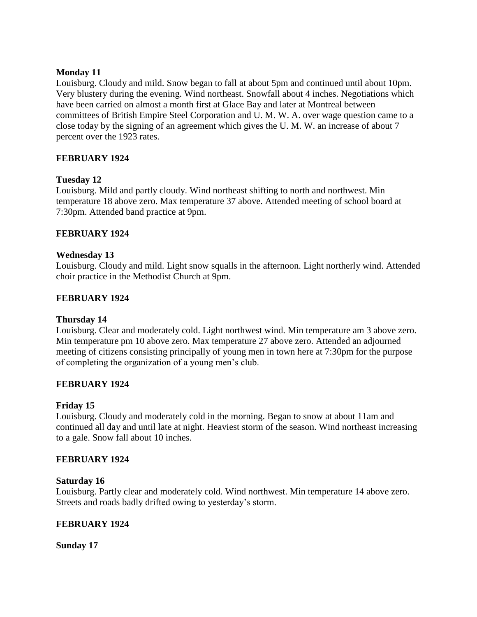## **Monday 11**

Louisburg. Cloudy and mild. Snow began to fall at about 5pm and continued until about 10pm. Very blustery during the evening. Wind northeast. Snowfall about 4 inches. Negotiations which have been carried on almost a month first at Glace Bay and later at Montreal between committees of British Empire Steel Corporation and U. M. W. A. over wage question came to a close today by the signing of an agreement which gives the U. M. W. an increase of about 7 percent over the 1923 rates.

## **FEBRUARY 1924**

## **Tuesday 12**

Louisburg. Mild and partly cloudy. Wind northeast shifting to north and northwest. Min temperature 18 above zero. Max temperature 37 above. Attended meeting of school board at 7:30pm. Attended band practice at 9pm.

## **FEBRUARY 1924**

## **Wednesday 13**

Louisburg. Cloudy and mild. Light snow squalls in the afternoon. Light northerly wind. Attended choir practice in the Methodist Church at 9pm.

## **FEBRUARY 1924**

### **Thursday 14**

Louisburg. Clear and moderately cold. Light northwest wind. Min temperature am 3 above zero. Min temperature pm 10 above zero. Max temperature 27 above zero. Attended an adjourned meeting of citizens consisting principally of young men in town here at 7:30pm for the purpose of completing the organization of a young men's club.

### **FEBRUARY 1924**

### **Friday 15**

Louisburg. Cloudy and moderately cold in the morning. Began to snow at about 11am and continued all day and until late at night. Heaviest storm of the season. Wind northeast increasing to a gale. Snow fall about 10 inches.

### **FEBRUARY 1924**

### **Saturday 16**

Louisburg. Partly clear and moderately cold. Wind northwest. Min temperature 14 above zero. Streets and roads badly drifted owing to yesterday's storm.

### **FEBRUARY 1924**

**Sunday 17**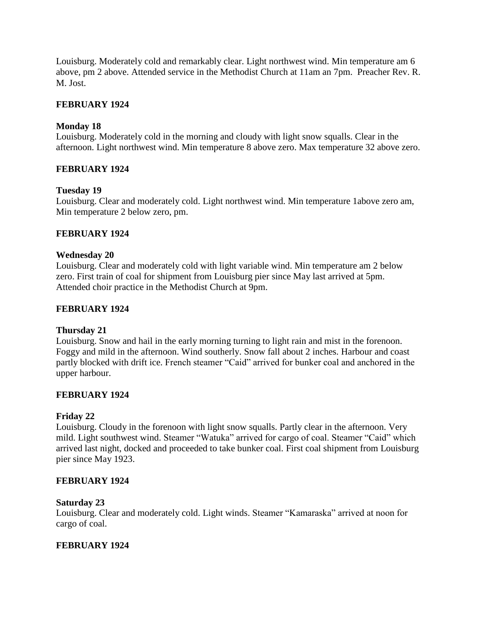Louisburg. Moderately cold and remarkably clear. Light northwest wind. Min temperature am 6 above, pm 2 above. Attended service in the Methodist Church at 11am an 7pm. Preacher Rev. R. M. Jost.

## **FEBRUARY 1924**

### **Monday 18**

Louisburg. Moderately cold in the morning and cloudy with light snow squalls. Clear in the afternoon. Light northwest wind. Min temperature 8 above zero. Max temperature 32 above zero.

## **FEBRUARY 1924**

### **Tuesday 19**

Louisburg. Clear and moderately cold. Light northwest wind. Min temperature 1above zero am, Min temperature 2 below zero, pm.

### **FEBRUARY 1924**

### **Wednesday 20**

Louisburg. Clear and moderately cold with light variable wind. Min temperature am 2 below zero. First train of coal for shipment from Louisburg pier since May last arrived at 5pm. Attended choir practice in the Methodist Church at 9pm.

### **FEBRUARY 1924**

### **Thursday 21**

Louisburg. Snow and hail in the early morning turning to light rain and mist in the forenoon. Foggy and mild in the afternoon. Wind southerly. Snow fall about 2 inches. Harbour and coast partly blocked with drift ice. French steamer "Caid" arrived for bunker coal and anchored in the upper harbour.

### **FEBRUARY 1924**

### **Friday 22**

Louisburg. Cloudy in the forenoon with light snow squalls. Partly clear in the afternoon. Very mild. Light southwest wind. Steamer "Watuka" arrived for cargo of coal. Steamer "Caid" which arrived last night, docked and proceeded to take bunker coal. First coal shipment from Louisburg pier since May 1923.

### **FEBRUARY 1924**

### **Saturday 23**

Louisburg. Clear and moderately cold. Light winds. Steamer "Kamaraska" arrived at noon for cargo of coal.

### **FEBRUARY 1924**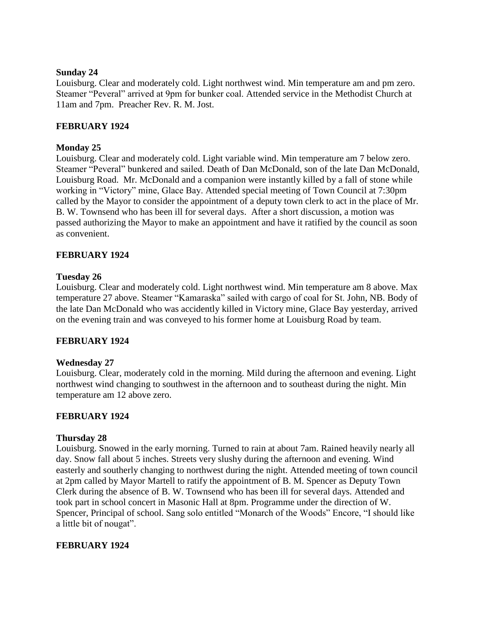### **Sunday 24**

Louisburg. Clear and moderately cold. Light northwest wind. Min temperature am and pm zero. Steamer "Peveral" arrived at 9pm for bunker coal. Attended service in the Methodist Church at 11am and 7pm. Preacher Rev. R. M. Jost.

## **FEBRUARY 1924**

## **Monday 25**

Louisburg. Clear and moderately cold. Light variable wind. Min temperature am 7 below zero. Steamer "Peveral" bunkered and sailed. Death of Dan McDonald, son of the late Dan McDonald, Louisburg Road. Mr. McDonald and a companion were instantly killed by a fall of stone while working in "Victory" mine, Glace Bay. Attended special meeting of Town Council at 7:30pm called by the Mayor to consider the appointment of a deputy town clerk to act in the place of Mr. B. W. Townsend who has been ill for several days. After a short discussion, a motion was passed authorizing the Mayor to make an appointment and have it ratified by the council as soon as convenient.

## **FEBRUARY 1924**

## **Tuesday 26**

Louisburg. Clear and moderately cold. Light northwest wind. Min temperature am 8 above. Max temperature 27 above. Steamer "Kamaraska" sailed with cargo of coal for St. John, NB. Body of the late Dan McDonald who was accidently killed in Victory mine, Glace Bay yesterday, arrived on the evening train and was conveyed to his former home at Louisburg Road by team.

### **FEBRUARY 1924**

### **Wednesday 27**

Louisburg. Clear, moderately cold in the morning. Mild during the afternoon and evening. Light northwest wind changing to southwest in the afternoon and to southeast during the night. Min temperature am 12 above zero.

### **FEBRUARY 1924**

### **Thursday 28**

Louisburg. Snowed in the early morning. Turned to rain at about 7am. Rained heavily nearly all day. Snow fall about 5 inches. Streets very slushy during the afternoon and evening. Wind easterly and southerly changing to northwest during the night. Attended meeting of town council at 2pm called by Mayor Martell to ratify the appointment of B. M. Spencer as Deputy Town Clerk during the absence of B. W. Townsend who has been ill for several days. Attended and took part in school concert in Masonic Hall at 8pm. Programme under the direction of W. Spencer, Principal of school. Sang solo entitled "Monarch of the Woods" Encore, "I should like a little bit of nougat".

### **FEBRUARY 1924**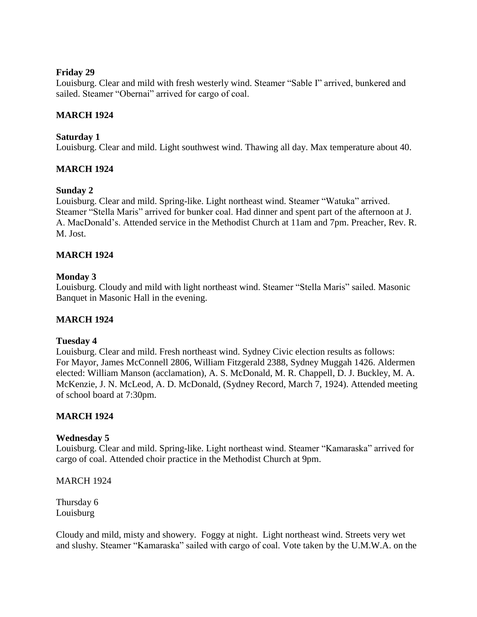## **Friday 29**

Louisburg. Clear and mild with fresh westerly wind. Steamer "Sable I" arrived, bunkered and sailed. Steamer "Obernai" arrived for cargo of coal.

## **MARCH 1924**

## **Saturday 1**

Louisburg. Clear and mild. Light southwest wind. Thawing all day. Max temperature about 40.

## **MARCH 1924**

## **Sunday 2**

Louisburg. Clear and mild. Spring-like. Light northeast wind. Steamer "Watuka" arrived. Steamer "Stella Maris" arrived for bunker coal. Had dinner and spent part of the afternoon at J. A. MacDonald's. Attended service in the Methodist Church at 11am and 7pm. Preacher, Rev. R. M. Jost.

## **MARCH 1924**

### **Monday 3**

Louisburg. Cloudy and mild with light northeast wind. Steamer "Stella Maris" sailed. Masonic Banquet in Masonic Hall in the evening.

### **MARCH 1924**

### **Tuesday 4**

Louisburg. Clear and mild. Fresh northeast wind. Sydney Civic election results as follows: For Mayor, James McConnell 2806, William Fitzgerald 2388, Sydney Muggah 1426. Aldermen elected: William Manson (acclamation), A. S. McDonald, M. R. Chappell, D. J. Buckley, M. A. McKenzie, J. N. McLeod, A. D. McDonald, (Sydney Record, March 7, 1924). Attended meeting of school board at 7:30pm.

### **MARCH 1924**

### **Wednesday 5**

Louisburg. Clear and mild. Spring-like. Light northeast wind. Steamer "Kamaraska" arrived for cargo of coal. Attended choir practice in the Methodist Church at 9pm.

MARCH 1924

Thursday 6 Louisburg

Cloudy and mild, misty and showery. Foggy at night. Light northeast wind. Streets very wet and slushy. Steamer "Kamaraska" sailed with cargo of coal. Vote taken by the U.M.W.A. on the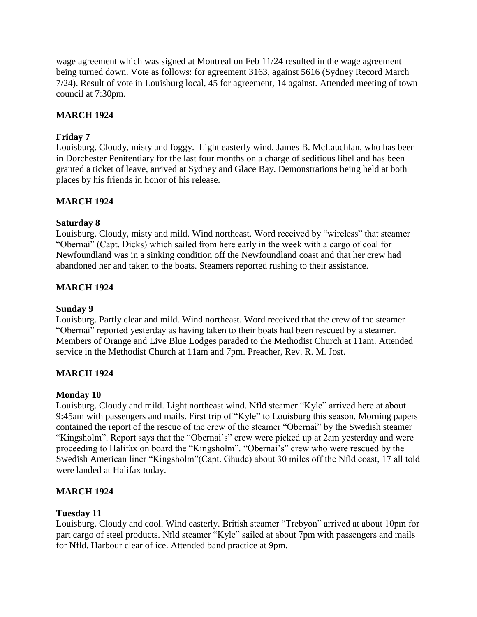wage agreement which was signed at Montreal on Feb 11/24 resulted in the wage agreement being turned down. Vote as follows: for agreement 3163, against 5616 (Sydney Record March 7/24). Result of vote in Louisburg local, 45 for agreement, 14 against. Attended meeting of town council at 7:30pm.

## **MARCH 1924**

## **Friday 7**

Louisburg. Cloudy, misty and foggy. Light easterly wind. James B. McLauchlan, who has been in Dorchester Penitentiary for the last four months on a charge of seditious libel and has been granted a ticket of leave, arrived at Sydney and Glace Bay. Demonstrations being held at both places by his friends in honor of his release.

## **MARCH 1924**

## **Saturday 8**

Louisburg. Cloudy, misty and mild. Wind northeast. Word received by "wireless" that steamer "Obernai" (Capt. Dicks) which sailed from here early in the week with a cargo of coal for Newfoundland was in a sinking condition off the Newfoundland coast and that her crew had abandoned her and taken to the boats. Steamers reported rushing to their assistance.

## **MARCH 1924**

## **Sunday 9**

Louisburg. Partly clear and mild. Wind northeast. Word received that the crew of the steamer "Obernai" reported yesterday as having taken to their boats had been rescued by a steamer. Members of Orange and Live Blue Lodges paraded to the Methodist Church at 11am. Attended service in the Methodist Church at 11am and 7pm. Preacher, Rev. R. M. Jost.

## **MARCH 1924**

### **Monday 10**

Louisburg. Cloudy and mild. Light northeast wind. Nfld steamer "Kyle" arrived here at about 9:45am with passengers and mails. First trip of "Kyle" to Louisburg this season. Morning papers contained the report of the rescue of the crew of the steamer "Obernai" by the Swedish steamer "Kingsholm". Report says that the "Obernai's" crew were picked up at 2am yesterday and were proceeding to Halifax on board the "Kingsholm". "Obernai's" crew who were rescued by the Swedish American liner "Kingsholm"(Capt. Ghude) about 30 miles off the Nfld coast, 17 all told were landed at Halifax today.

## **MARCH 1924**

## **Tuesday 11**

Louisburg. Cloudy and cool. Wind easterly. British steamer "Trebyon" arrived at about 10pm for part cargo of steel products. Nfld steamer "Kyle" sailed at about 7pm with passengers and mails for Nfld. Harbour clear of ice. Attended band practice at 9pm.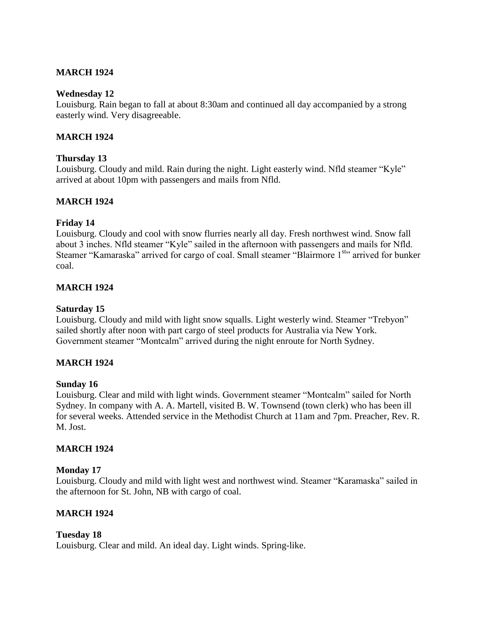## **MARCH 1924**

### **Wednesday 12**

Louisburg. Rain began to fall at about 8:30am and continued all day accompanied by a strong easterly wind. Very disagreeable.

### **MARCH 1924**

### **Thursday 13**

Louisburg. Cloudy and mild. Rain during the night. Light easterly wind. Nfld steamer "Kyle" arrived at about 10pm with passengers and mails from Nfld.

### **MARCH 1924**

### **Friday 14**

Louisburg. Cloudy and cool with snow flurries nearly all day. Fresh northwest wind. Snow fall about 3 inches. Nfld steamer "Kyle" sailed in the afternoon with passengers and mails for Nfld. Steamer "Kamaraska" arrived for cargo of coal. Small steamer "Blairmore 1<sup>st</sup>" arrived for bunker coal.

### **MARCH 1924**

### **Saturday 15**

Louisburg. Cloudy and mild with light snow squalls. Light westerly wind. Steamer "Trebyon" sailed shortly after noon with part cargo of steel products for Australia via New York. Government steamer "Montcalm" arrived during the night enroute for North Sydney.

### **MARCH 1924**

### **Sunday 16**

Louisburg. Clear and mild with light winds. Government steamer "Montcalm" sailed for North Sydney. In company with A. A. Martell, visited B. W. Townsend (town clerk) who has been ill for several weeks. Attended service in the Methodist Church at 11am and 7pm. Preacher, Rev. R. M. Jost.

### **MARCH 1924**

#### **Monday 17**

Louisburg. Cloudy and mild with light west and northwest wind. Steamer "Karamaska" sailed in the afternoon for St. John, NB with cargo of coal.

### **MARCH 1924**

#### **Tuesday 18**

Louisburg. Clear and mild. An ideal day. Light winds. Spring-like.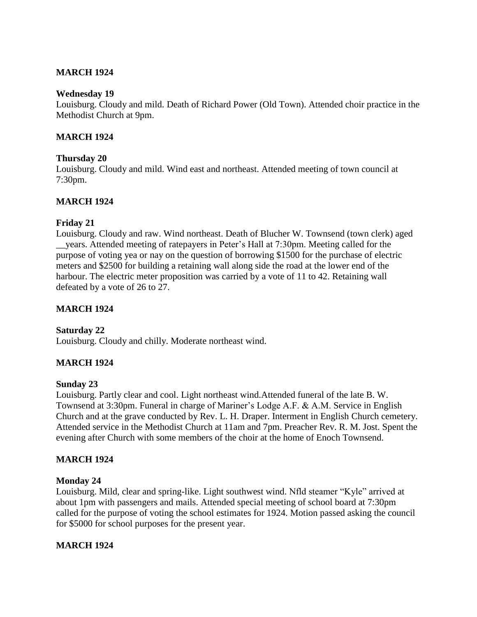## **MARCH 1924**

### **Wednesday 19**

Louisburg. Cloudy and mild. Death of Richard Power (Old Town). Attended choir practice in the Methodist Church at 9pm.

### **MARCH 1924**

### **Thursday 20**

Louisburg. Cloudy and mild. Wind east and northeast. Attended meeting of town council at 7:30pm.

## **MARCH 1924**

### **Friday 21**

Louisburg. Cloudy and raw. Wind northeast. Death of Blucher W. Townsend (town clerk) aged \_\_years. Attended meeting of ratepayers in Peter's Hall at 7:30pm. Meeting called for the purpose of voting yea or nay on the question of borrowing \$1500 for the purchase of electric meters and \$2500 for building a retaining wall along side the road at the lower end of the harbour. The electric meter proposition was carried by a vote of 11 to 42. Retaining wall defeated by a vote of 26 to 27.

### **MARCH 1924**

### **Saturday 22**

Louisburg. Cloudy and chilly. Moderate northeast wind.

### **MARCH 1924**

### **Sunday 23**

Louisburg. Partly clear and cool. Light northeast wind.Attended funeral of the late B. W. Townsend at 3:30pm. Funeral in charge of Mariner's Lodge A.F. & A.M. Service in English Church and at the grave conducted by Rev. L. H. Draper. Interment in English Church cemetery. Attended service in the Methodist Church at 11am and 7pm. Preacher Rev. R. M. Jost. Spent the evening after Church with some members of the choir at the home of Enoch Townsend.

### **MARCH 1924**

#### **Monday 24**

Louisburg. Mild, clear and spring-like. Light southwest wind. Nfld steamer "Kyle" arrived at about 1pm with passengers and mails. Attended special meeting of school board at 7:30pm called for the purpose of voting the school estimates for 1924. Motion passed asking the council for \$5000 for school purposes for the present year.

### **MARCH 1924**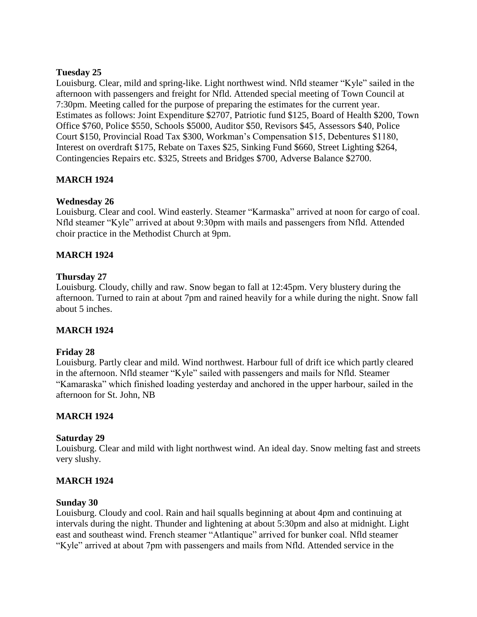## **Tuesday 25**

Louisburg. Clear, mild and spring-like. Light northwest wind. Nfld steamer "Kyle" sailed in the afternoon with passengers and freight for Nfld. Attended special meeting of Town Council at 7:30pm. Meeting called for the purpose of preparing the estimates for the current year. Estimates as follows: Joint Expenditure \$2707, Patriotic fund \$125, Board of Health \$200, Town Office \$760, Police \$550, Schools \$5000, Auditor \$50, Revisors \$45, Assessors \$40, Police Court \$150, Provincial Road Tax \$300, Workman's Compensation \$15, Debentures \$1180, Interest on overdraft \$175, Rebate on Taxes \$25, Sinking Fund \$660, Street Lighting \$264, Contingencies Repairs etc. \$325, Streets and Bridges \$700, Adverse Balance \$2700.

# **MARCH 1924**

# **Wednesday 26**

Louisburg. Clear and cool. Wind easterly. Steamer "Karmaska" arrived at noon for cargo of coal. Nfld steamer "Kyle" arrived at about 9:30pm with mails and passengers from Nfld. Attended choir practice in the Methodist Church at 9pm.

# **MARCH 1924**

## **Thursday 27**

Louisburg. Cloudy, chilly and raw. Snow began to fall at 12:45pm. Very blustery during the afternoon. Turned to rain at about 7pm and rained heavily for a while during the night. Snow fall about 5 inches.

## **MARCH 1924**

## **Friday 28**

Louisburg. Partly clear and mild. Wind northwest. Harbour full of drift ice which partly cleared in the afternoon. Nfld steamer "Kyle" sailed with passengers and mails for Nfld. Steamer "Kamaraska" which finished loading yesterday and anchored in the upper harbour, sailed in the afternoon for St. John, NB

## **MARCH 1924**

### **Saturday 29**

Louisburg. Clear and mild with light northwest wind. An ideal day. Snow melting fast and streets very slushy.

## **MARCH 1924**

### **Sunday 30**

Louisburg. Cloudy and cool. Rain and hail squalls beginning at about 4pm and continuing at intervals during the night. Thunder and lightening at about 5:30pm and also at midnight. Light east and southeast wind. French steamer "Atlantique" arrived for bunker coal. Nfld steamer "Kyle" arrived at about 7pm with passengers and mails from Nfld. Attended service in the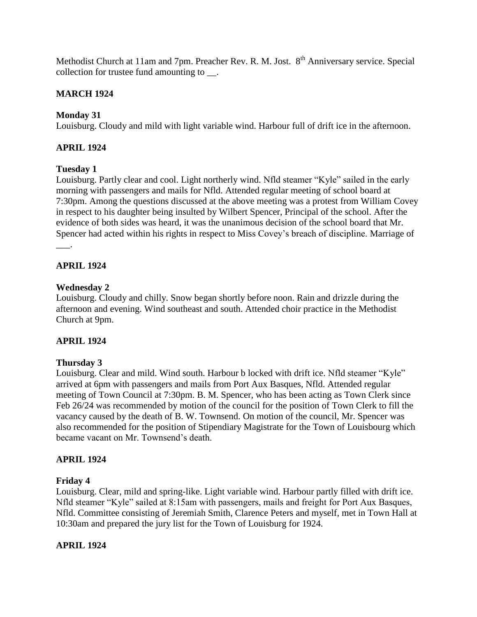Methodist Church at 11am and 7pm. Preacher Rev. R. M. Jost. 8<sup>th</sup> Anniversary service. Special collection for trustee fund amounting to.

# **MARCH 1924**

# **Monday 31**

Louisburg. Cloudy and mild with light variable wind. Harbour full of drift ice in the afternoon.

# **APRIL 1924**

## **Tuesday 1**

Louisburg. Partly clear and cool. Light northerly wind. Nfld steamer "Kyle" sailed in the early morning with passengers and mails for Nfld. Attended regular meeting of school board at 7:30pm. Among the questions discussed at the above meeting was a protest from William Covey in respect to his daughter being insulted by Wilbert Spencer, Principal of the school. After the evidence of both sides was heard, it was the unanimous decision of the school board that Mr. Spencer had acted within his rights in respect to Miss Covey's breach of discipline. Marriage of

 $\overline{\phantom{a}}$ .

## **APRIL 1924**

## **Wednesday 2**

Louisburg. Cloudy and chilly. Snow began shortly before noon. Rain and drizzle during the afternoon and evening. Wind southeast and south. Attended choir practice in the Methodist Church at 9pm.

## **APRIL 1924**

## **Thursday 3**

Louisburg. Clear and mild. Wind south. Harbour b locked with drift ice. Nfld steamer "Kyle" arrived at 6pm with passengers and mails from Port Aux Basques, Nfld. Attended regular meeting of Town Council at 7:30pm. B. M. Spencer, who has been acting as Town Clerk since Feb 26/24 was recommended by motion of the council for the position of Town Clerk to fill the vacancy caused by the death of B. W. Townsend. On motion of the council, Mr. Spencer was also recommended for the position of Stipendiary Magistrate for the Town of Louisbourg which became vacant on Mr. Townsend's death.

## **APRIL 1924**

## **Friday 4**

Louisburg. Clear, mild and spring-like. Light variable wind. Harbour partly filled with drift ice. Nfld steamer "Kyle" sailed at 8:15am with passengers, mails and freight for Port Aux Basques, Nfld. Committee consisting of Jeremiah Smith, Clarence Peters and myself, met in Town Hall at 10:30am and prepared the jury list for the Town of Louisburg for 1924.

## **APRIL 1924**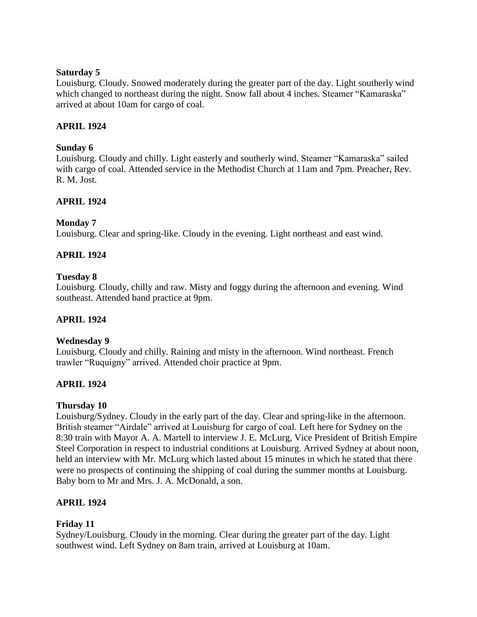## **Saturday 5**

Louisburg. Cloudy. Snowed moderately during the greater part of the day. Light southerly wind which changed to northeast during the night. Snow fall about 4 inches. Steamer "Kamaraska" arrived at about 10am for cargo of coal.

## **APRIL 1924**

## **Sunday 6**

Louisburg. Cloudy and chilly. Light easterly and southerly wind. Steamer "Kamaraska" sailed with cargo of coal. Attended service in the Methodist Church at 11am and 7pm. Preacher, Rev. R. M. Jost.

# **APRIL 1924**

## **Monday 7**

Louisburg. Clear and spring-like. Cloudy in the evening. Light northeast and east wind.

## **APRIL 1924**

### **Tuesday 8**

Louisburg. Cloudy, chilly and raw. Misty and foggy during the afternoon and evening. Wind southeast. Attended band practice at 9pm.

### **APRIL 1924**

### **Wednesday 9**

Louisburg. Cloudy and chilly. Raining and misty in the afternoon. Wind northeast. French trawler "Ruquigny" arrived. Attended choir practice at 9pm.

## **APRIL 1924**

### **Thursday 10**

Louisburg/Sydney. Cloudy in the early part of the day. Clear and spring-like in the afternoon. British steamer "Airdale" arrived at Louisburg for cargo of coal. Left here for Sydney on the 8:30 train with Mayor A. A. Martell to interview J. E. McLurg, Vice President of British Empire Steel Corporation in respect to industrial conditions at Louisburg. Arrived Sydney at about noon, held an interview with Mr. McLurg which lasted about 15 minutes in which he stated that there were no prospects of continuing the shipping of coal during the summer months at Louisburg. Baby born to Mr and Mrs. J. A. McDonald, a son.

## **APRIL 1924**

## **Friday 11**

Sydney/Louisburg. Cloudy in the morning. Clear during the greater part of the day. Light southwest wind. Left Sydney on 8am train, arrived at Louisburg at 10am.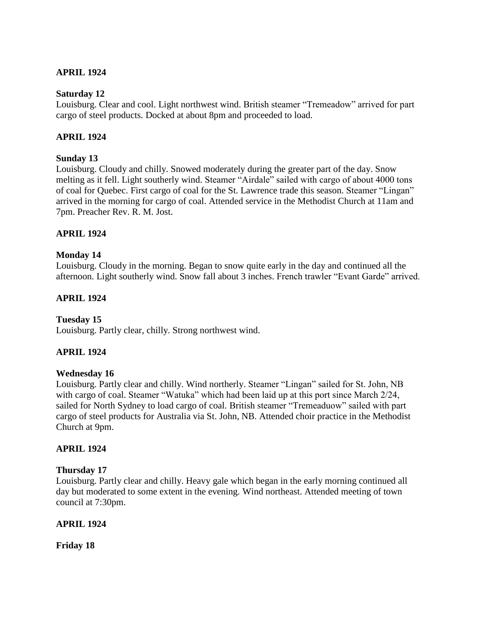## **APRIL 1924**

### **Saturday 12**

Louisburg. Clear and cool. Light northwest wind. British steamer "Tremeadow" arrived for part cargo of steel products. Docked at about 8pm and proceeded to load.

## **APRIL 1924**

## **Sunday 13**

Louisburg. Cloudy and chilly. Snowed moderately during the greater part of the day. Snow melting as it fell. Light southerly wind. Steamer "Airdale" sailed with cargo of about 4000 tons of coal for Quebec. First cargo of coal for the St. Lawrence trade this season. Steamer "Lingan" arrived in the morning for cargo of coal. Attended service in the Methodist Church at 11am and 7pm. Preacher Rev. R. M. Jost.

## **APRIL 1924**

## **Monday 14**

Louisburg. Cloudy in the morning. Began to snow quite early in the day and continued all the afternoon. Light southerly wind. Snow fall about 3 inches. French trawler "Evant Garde" arrived.

## **APRIL 1924**

### **Tuesday 15**

Louisburg. Partly clear, chilly. Strong northwest wind.

## **APRIL 1924**

### **Wednesday 16**

Louisburg. Partly clear and chilly. Wind northerly. Steamer "Lingan" sailed for St. John, NB with cargo of coal. Steamer "Watuka" which had been laid up at this port since March 2/24, sailed for North Sydney to load cargo of coal. British steamer "Tremeaduow" sailed with part cargo of steel products for Australia via St. John, NB. Attended choir practice in the Methodist Church at 9pm.

### **APRIL 1924**

### **Thursday 17**

Louisburg. Partly clear and chilly. Heavy gale which began in the early morning continued all day but moderated to some extent in the evening. Wind northeast. Attended meeting of town council at 7:30pm.

### **APRIL 1924**

**Friday 18**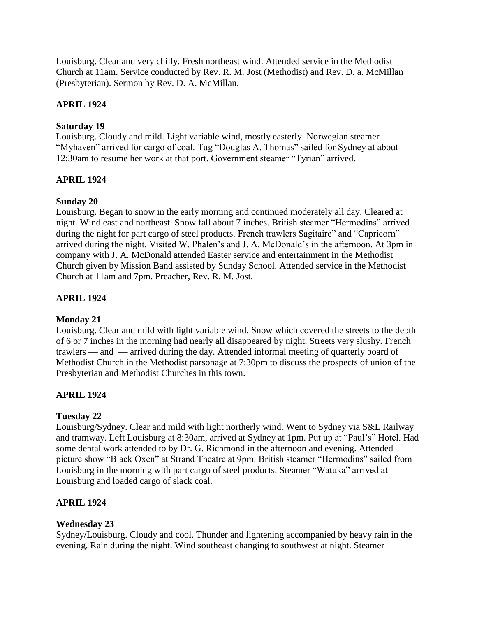Louisburg. Clear and very chilly. Fresh northeast wind. Attended service in the Methodist Church at 11am. Service conducted by Rev. R. M. Jost (Methodist) and Rev. D. a. McMillan (Presbyterian). Sermon by Rev. D. A. McMillan.

# **APRIL 1924**

# **Saturday 19**

Louisburg. Cloudy and mild. Light variable wind, mostly easterly. Norwegian steamer "Myhaven" arrived for cargo of coal. Tug "Douglas A. Thomas" sailed for Sydney at about 12:30am to resume her work at that port. Government steamer "Tyrian" arrived.

# **APRIL 1924**

# **Sunday 20**

Louisburg. Began to snow in the early morning and continued moderately all day. Cleared at night. Wind east and northeast. Snow fall about 7 inches. British steamer "Hermodins" arrived during the night for part cargo of steel products. French trawlers Sagitaire" and "Capricorn" arrived during the night. Visited W. Phalen's and J. A. McDonald's in the afternoon. At 3pm in company with J. A. McDonald attended Easter service and entertainment in the Methodist Church given by Mission Band assisted by Sunday School. Attended service in the Methodist Church at 11am and 7pm. Preacher, Rev. R. M. Jost.

# **APRIL 1924**

## **Monday 21**

Louisburg. Clear and mild with light variable wind. Snow which covered the streets to the depth of 6 or 7 inches in the morning had nearly all disappeared by night. Streets very slushy. French trawlers — and — arrived during the day. Attended informal meeting of quarterly board of Methodist Church in the Methodist parsonage at 7:30pm to discuss the prospects of union of the Presbyterian and Methodist Churches in this town.

# **APRIL 1924**

## **Tuesday 22**

Louisburg/Sydney. Clear and mild with light northerly wind. Went to Sydney via S&L Railway and tramway. Left Louisburg at 8:30am, arrived at Sydney at 1pm. Put up at "Paul's" Hotel. Had some dental work attended to by Dr. G. Richmond in the afternoon and evening. Attended picture show "Black Oxen" at Strand Theatre at 9pm. British steamer "Hermodins" sailed from Louisburg in the morning with part cargo of steel products. Steamer "Watuka" arrived at Louisburg and loaded cargo of slack coal.

# **APRIL 1924**

## **Wednesday 23**

Sydney/Louisburg. Cloudy and cool. Thunder and lightening accompanied by heavy rain in the evening. Rain during the night. Wind southeast changing to southwest at night. Steamer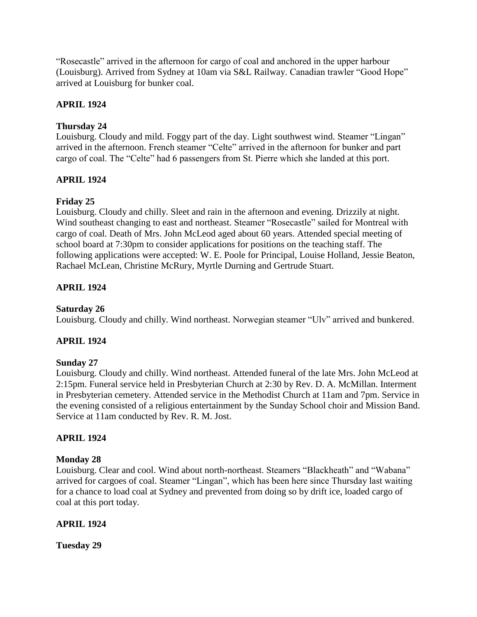"Rosecastle" arrived in the afternoon for cargo of coal and anchored in the upper harbour (Louisburg). Arrived from Sydney at 10am via S&L Railway. Canadian trawler "Good Hope" arrived at Louisburg for bunker coal.

# **APRIL 1924**

# **Thursday 24**

Louisburg. Cloudy and mild. Foggy part of the day. Light southwest wind. Steamer "Lingan" arrived in the afternoon. French steamer "Celte" arrived in the afternoon for bunker and part cargo of coal. The "Celte" had 6 passengers from St. Pierre which she landed at this port.

# **APRIL 1924**

# **Friday 25**

Louisburg. Cloudy and chilly. Sleet and rain in the afternoon and evening. Drizzily at night. Wind southeast changing to east and northeast. Steamer "Rosecastle" sailed for Montreal with cargo of coal. Death of Mrs. John McLeod aged about 60 years. Attended special meeting of school board at 7:30pm to consider applications for positions on the teaching staff. The following applications were accepted: W. E. Poole for Principal, Louise Holland, Jessie Beaton, Rachael McLean, Christine McRury, Myrtle Durning and Gertrude Stuart.

# **APRIL 1924**

## **Saturday 26**

Louisburg. Cloudy and chilly. Wind northeast. Norwegian steamer "Ulv" arrived and bunkered.

# **APRIL 1924**

## **Sunday 27**

Louisburg. Cloudy and chilly. Wind northeast. Attended funeral of the late Mrs. John McLeod at 2:15pm. Funeral service held in Presbyterian Church at 2:30 by Rev. D. A. McMillan. Interment in Presbyterian cemetery. Attended service in the Methodist Church at 11am and 7pm. Service in the evening consisted of a religious entertainment by the Sunday School choir and Mission Band. Service at 11am conducted by Rev. R. M. Jost.

## **APRIL 1924**

## **Monday 28**

Louisburg. Clear and cool. Wind about north-northeast. Steamers "Blackheath" and "Wabana" arrived for cargoes of coal. Steamer "Lingan", which has been here since Thursday last waiting for a chance to load coal at Sydney and prevented from doing so by drift ice, loaded cargo of coal at this port today.

## **APRIL 1924**

**Tuesday 29**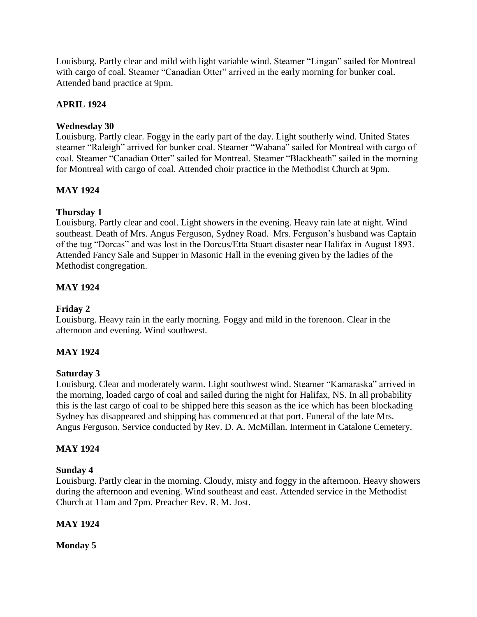Louisburg. Partly clear and mild with light variable wind. Steamer "Lingan" sailed for Montreal with cargo of coal. Steamer "Canadian Otter" arrived in the early morning for bunker coal. Attended band practice at 9pm.

# **APRIL 1924**

# **Wednesday 30**

Louisburg. Partly clear. Foggy in the early part of the day. Light southerly wind. United States steamer "Raleigh" arrived for bunker coal. Steamer "Wabana" sailed for Montreal with cargo of coal. Steamer "Canadian Otter" sailed for Montreal. Steamer "Blackheath" sailed in the morning for Montreal with cargo of coal. Attended choir practice in the Methodist Church at 9pm.

# **MAY 1924**

# **Thursday 1**

Louisburg. Partly clear and cool. Light showers in the evening. Heavy rain late at night. Wind southeast. Death of Mrs. Angus Ferguson, Sydney Road. Mrs. Ferguson's husband was Captain of the tug "Dorcas" and was lost in the Dorcus/Etta Stuart disaster near Halifax in August 1893. Attended Fancy Sale and Supper in Masonic Hall in the evening given by the ladies of the Methodist congregation.

# **MAY 1924**

# **Friday 2**

Louisburg. Heavy rain in the early morning. Foggy and mild in the forenoon. Clear in the afternoon and evening. Wind southwest.

# **MAY 1924**

## **Saturday 3**

Louisburg. Clear and moderately warm. Light southwest wind. Steamer "Kamaraska" arrived in the morning, loaded cargo of coal and sailed during the night for Halifax, NS. In all probability this is the last cargo of coal to be shipped here this season as the ice which has been blockading Sydney has disappeared and shipping has commenced at that port. Funeral of the late Mrs. Angus Ferguson. Service conducted by Rev. D. A. McMillan. Interment in Catalone Cemetery.

## **MAY 1924**

## **Sunday 4**

Louisburg. Partly clear in the morning. Cloudy, misty and foggy in the afternoon. Heavy showers during the afternoon and evening. Wind southeast and east. Attended service in the Methodist Church at 11am and 7pm. Preacher Rev. R. M. Jost.

## **MAY 1924**

**Monday 5**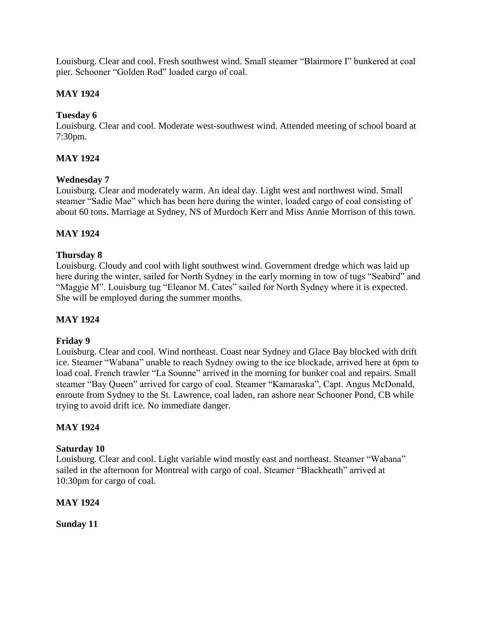Louisburg. Clear and cool. Fresh southwest wind. Small steamer "Blairmore I" bunkered at coal pier. Schooner "Golden Rod" loaded cargo of coal.

# **MAY 1924**

# **Tuesday 6**

Louisburg. Clear and cool. Moderate west-southwest wind. Attended meeting of school board at 7:30pm.

# **MAY 1924**

## **Wednesday 7**

Louisburg. Clear and moderately warm. An ideal day. Light west and northwest wind. Small steamer "Sadie Mae" which has been here during the winter, loaded cargo of coal consisting of about 60 tons. Marriage at Sydney, NS of Murdoch Kerr and Miss Annie Morrison of this town.

# **MAY 1924**

## **Thursday 8**

Louisburg. Cloudy and cool with light southwest wind. Government dredge which was laid up here during the winter, sailed for North Sydney in the early morning in tow of tugs "Seabird" and "Maggie M". Louisburg tug "Eleanor M. Cates" sailed for North Sydney where it is expected. She will be employed during the summer months.

## **MAY 1924**

### **Friday 9**

Louisburg. Clear and cool. Wind northeast. Coast near Sydney and Glace Bay blocked with drift ice. Steamer "Wabana" unable to reach Sydney owing to the ice blockade, arrived here at 6pm to load coal. French trawler "La Sounne" arrived in the morning for bunker coal and repairs. Small steamer "Bay Queen" arrived for cargo of coal. Steamer "Kamaraska", Capt. Angus McDonald, enroute from Sydney to the St. Lawrence, coal laden, ran ashore near Schooner Pond, CB while trying to avoid drift ice. No immediate danger.

## **MAY 1924**

### **Saturday 10**

Louisburg. Clear and cool. Light variable wind mostly east and northeast. Steamer "Wabana" sailed in the afternoon for Montreal with cargo of coal. Steamer "Blackheath" arrived at 10:30pm for cargo of coal.

## **MAY 1924**

**Sunday 11**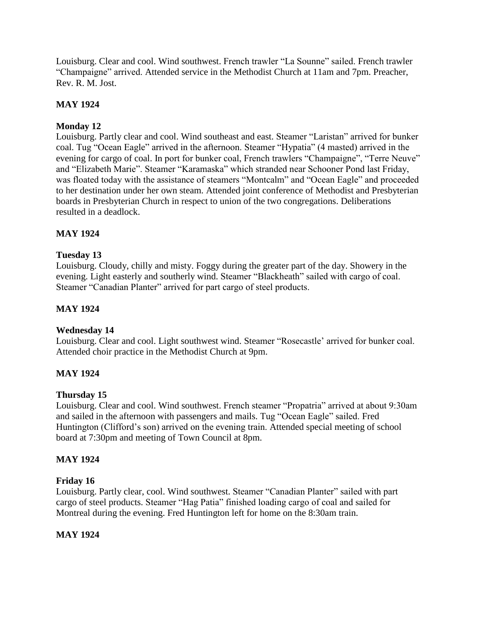Louisburg. Clear and cool. Wind southwest. French trawler "La Sounne" sailed. French trawler "Champaigne" arrived. Attended service in the Methodist Church at 11am and 7pm. Preacher, Rev. R. M. Jost.

# **MAY 1924**

# **Monday 12**

Louisburg. Partly clear and cool. Wind southeast and east. Steamer "Laristan" arrived for bunker coal. Tug "Ocean Eagle" arrived in the afternoon. Steamer "Hypatia" (4 masted) arrived in the evening for cargo of coal. In port for bunker coal, French trawlers "Champaigne", "Terre Neuve" and "Elizabeth Marie". Steamer "Karamaska" which stranded near Schooner Pond last Friday, was floated today with the assistance of steamers "Montcalm" and "Ocean Eagle" and proceeded to her destination under her own steam. Attended joint conference of Methodist and Presbyterian boards in Presbyterian Church in respect to union of the two congregations. Deliberations resulted in a deadlock.

# **MAY 1924**

## **Tuesday 13**

Louisburg. Cloudy, chilly and misty. Foggy during the greater part of the day. Showery in the evening. Light easterly and southerly wind. Steamer "Blackheath" sailed with cargo of coal. Steamer "Canadian Planter" arrived for part cargo of steel products.

## **MAY 1924**

### **Wednesday 14**

Louisburg. Clear and cool. Light southwest wind. Steamer "Rosecastle' arrived for bunker coal. Attended choir practice in the Methodist Church at 9pm.

## **MAY 1924**

### **Thursday 15**

Louisburg. Clear and cool. Wind southwest. French steamer "Propatria" arrived at about 9:30am and sailed in the afternoon with passengers and mails. Tug "Ocean Eagle" sailed. Fred Huntington (Clifford's son) arrived on the evening train. Attended special meeting of school board at 7:30pm and meeting of Town Council at 8pm.

### **MAY 1924**

### **Friday 16**

Louisburg. Partly clear, cool. Wind southwest. Steamer "Canadian Planter" sailed with part cargo of steel products. Steamer "Hag Patia" finished loading cargo of coal and sailed for Montreal during the evening. Fred Huntington left for home on the 8:30am train.

### **MAY 1924**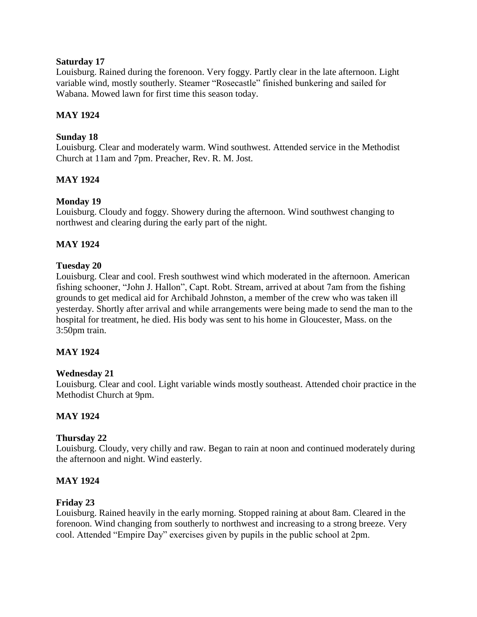## **Saturday 17**

Louisburg. Rained during the forenoon. Very foggy. Partly clear in the late afternoon. Light variable wind, mostly southerly. Steamer "Rosecastle" finished bunkering and sailed for Wabana. Mowed lawn for first time this season today.

## **MAY 1924**

## **Sunday 18**

Louisburg. Clear and moderately warm. Wind southwest. Attended service in the Methodist Church at 11am and 7pm. Preacher, Rev. R. M. Jost.

## **MAY 1924**

## **Monday 19**

Louisburg. Cloudy and foggy. Showery during the afternoon. Wind southwest changing to northwest and clearing during the early part of the night.

## **MAY 1924**

## **Tuesday 20**

Louisburg. Clear and cool. Fresh southwest wind which moderated in the afternoon. American fishing schooner, "John J. Hallon", Capt. Robt. Stream, arrived at about 7am from the fishing grounds to get medical aid for Archibald Johnston, a member of the crew who was taken ill yesterday. Shortly after arrival and while arrangements were being made to send the man to the hospital for treatment, he died. His body was sent to his home in Gloucester, Mass. on the 3:50pm train.

## **MAY 1924**

### **Wednesday 21**

Louisburg. Clear and cool. Light variable winds mostly southeast. Attended choir practice in the Methodist Church at 9pm.

### **MAY 1924**

### **Thursday 22**

Louisburg. Cloudy, very chilly and raw. Began to rain at noon and continued moderately during the afternoon and night. Wind easterly.

### **MAY 1924**

### **Friday 23**

Louisburg. Rained heavily in the early morning. Stopped raining at about 8am. Cleared in the forenoon. Wind changing from southerly to northwest and increasing to a strong breeze. Very cool. Attended "Empire Day" exercises given by pupils in the public school at 2pm.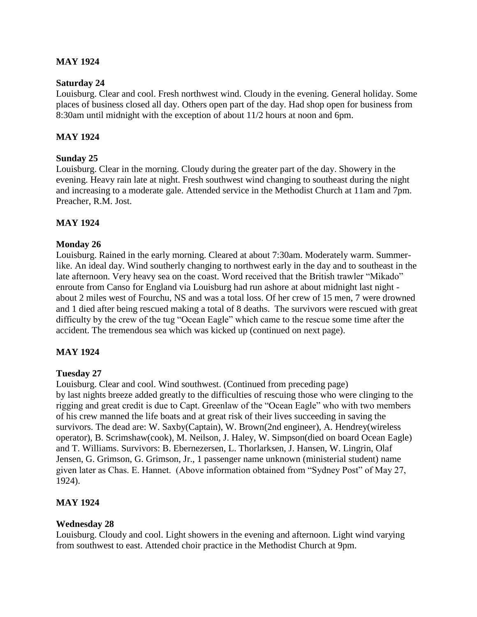## **MAY 1924**

### **Saturday 24**

Louisburg. Clear and cool. Fresh northwest wind. Cloudy in the evening. General holiday. Some places of business closed all day. Others open part of the day. Had shop open for business from 8:30am until midnight with the exception of about 11/2 hours at noon and 6pm.

### **MAY 1924**

### **Sunday 25**

Louisburg. Clear in the morning. Cloudy during the greater part of the day. Showery in the evening. Heavy rain late at night. Fresh southwest wind changing to southeast during the night and increasing to a moderate gale. Attended service in the Methodist Church at 11am and 7pm. Preacher, R.M. Jost.

## **MAY 1924**

### **Monday 26**

Louisburg. Rained in the early morning. Cleared at about 7:30am. Moderately warm. Summerlike. An ideal day. Wind southerly changing to northwest early in the day and to southeast in the late afternoon. Very heavy sea on the coast. Word received that the British trawler "Mikado" enroute from Canso for England via Louisburg had run ashore at about midnight last night about 2 miles west of Fourchu, NS and was a total loss. Of her crew of 15 men, 7 were drowned and 1 died after being rescued making a total of 8 deaths. The survivors were rescued with great difficulty by the crew of the tug "Ocean Eagle" which came to the rescue some time after the accident. The tremendous sea which was kicked up (continued on next page).

### **MAY 1924**

### **Tuesday 27**

Louisburg. Clear and cool. Wind southwest. (Continued from preceding page) by last nights breeze added greatly to the difficulties of rescuing those who were clinging to the rigging and great credit is due to Capt. Greenlaw of the "Ocean Eagle" who with two members of his crew manned the life boats and at great risk of their lives succeeding in saving the survivors. The dead are: W. Saxby(Captain), W. Brown(2nd engineer), A. Hendrey(wireless operator), B. Scrimshaw(cook), M. Neilson, J. Haley, W. Simpson(died on board Ocean Eagle) and T. Williams. Survivors: B. Ebernezersen, L. Thorlarksen, J. Hansen, W. Lingrin, Olaf Jensen, G. Grimson, G. Grimson, Jr., 1 passenger name unknown (ministerial student) name given later as Chas. E. Hannet. (Above information obtained from "Sydney Post" of May 27, 1924).

### **MAY 1924**

### **Wednesday 28**

Louisburg. Cloudy and cool. Light showers in the evening and afternoon. Light wind varying from southwest to east. Attended choir practice in the Methodist Church at 9pm.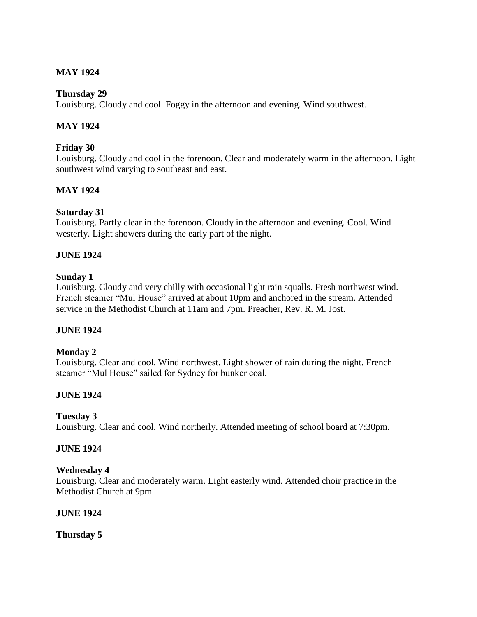# **MAY 1924**

## **Thursday 29**

Louisburg. Cloudy and cool. Foggy in the afternoon and evening. Wind southwest.

## **MAY 1924**

## **Friday 30**

Louisburg. Cloudy and cool in the forenoon. Clear and moderately warm in the afternoon. Light southwest wind varying to southeast and east.

## **MAY 1924**

### **Saturday 31**

Louisburg. Partly clear in the forenoon. Cloudy in the afternoon and evening. Cool. Wind westerly. Light showers during the early part of the night.

## **JUNE 1924**

### **Sunday 1**

Louisburg. Cloudy and very chilly with occasional light rain squalls. Fresh northwest wind. French steamer "Mul House" arrived at about 10pm and anchored in the stream. Attended service in the Methodist Church at 11am and 7pm. Preacher, Rev. R. M. Jost.

### **JUNE 1924**

### **Monday 2**

Louisburg. Clear and cool. Wind northwest. Light shower of rain during the night. French steamer "Mul House" sailed for Sydney for bunker coal.

## **JUNE 1924**

### **Tuesday 3**

Louisburg. Clear and cool. Wind northerly. Attended meeting of school board at 7:30pm.

### **JUNE 1924**

### **Wednesday 4**

Louisburg. Clear and moderately warm. Light easterly wind. Attended choir practice in the Methodist Church at 9pm.

### **JUNE 1924**

**Thursday 5**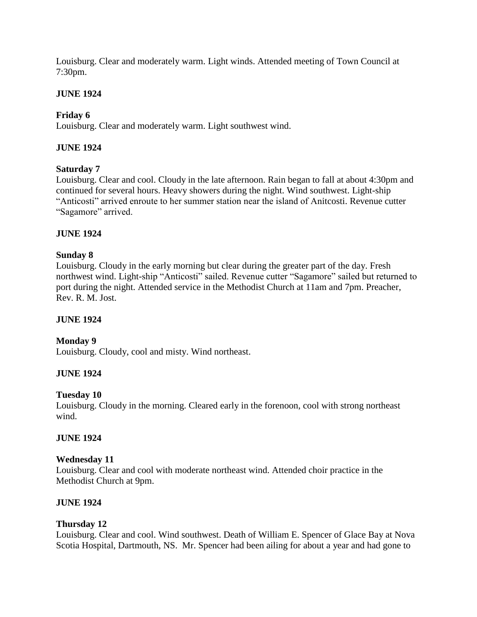Louisburg. Clear and moderately warm. Light winds. Attended meeting of Town Council at 7:30pm.

# **JUNE 1924**

# **Friday 6**

Louisburg. Clear and moderately warm. Light southwest wind.

## **JUNE 1924**

## **Saturday 7**

Louisburg. Clear and cool. Cloudy in the late afternoon. Rain began to fall at about 4:30pm and continued for several hours. Heavy showers during the night. Wind southwest. Light-ship "Anticosti" arrived enroute to her summer station near the island of Anitcosti. Revenue cutter "Sagamore" arrived.

## **JUNE 1924**

## **Sunday 8**

Louisburg. Cloudy in the early morning but clear during the greater part of the day. Fresh northwest wind. Light-ship "Anticosti" sailed. Revenue cutter "Sagamore" sailed but returned to port during the night. Attended service in the Methodist Church at 11am and 7pm. Preacher, Rev. R. M. Jost.

### **JUNE 1924**

## **Monday 9**

Louisburg. Cloudy, cool and misty. Wind northeast.

### **JUNE 1924**

### **Tuesday 10**

Louisburg. Cloudy in the morning. Cleared early in the forenoon, cool with strong northeast wind.

### **JUNE 1924**

### **Wednesday 11**

Louisburg. Clear and cool with moderate northeast wind. Attended choir practice in the Methodist Church at 9pm.

### **JUNE 1924**

### **Thursday 12**

Louisburg. Clear and cool. Wind southwest. Death of William E. Spencer of Glace Bay at Nova Scotia Hospital, Dartmouth, NS. Mr. Spencer had been ailing for about a year and had gone to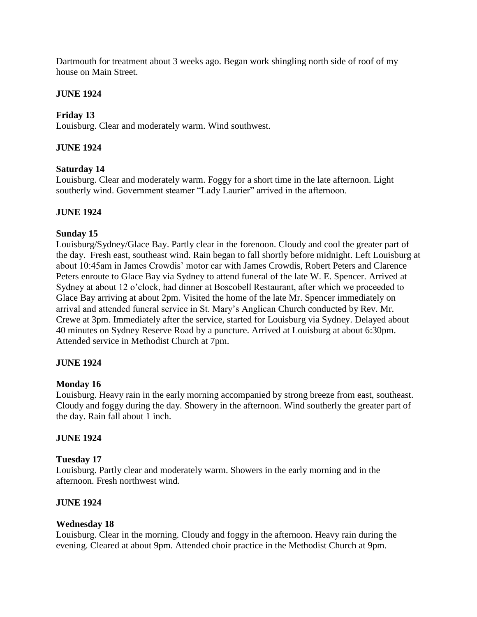Dartmouth for treatment about 3 weeks ago. Began work shingling north side of roof of my house on Main Street.

## **JUNE 1924**

## **Friday 13**

Louisburg. Clear and moderately warm. Wind southwest.

## **JUNE 1924**

### **Saturday 14**

Louisburg. Clear and moderately warm. Foggy for a short time in the late afternoon. Light southerly wind. Government steamer "Lady Laurier" arrived in the afternoon.

### **JUNE 1924**

### **Sunday 15**

Louisburg/Sydney/Glace Bay. Partly clear in the forenoon. Cloudy and cool the greater part of the day. Fresh east, southeast wind. Rain began to fall shortly before midnight. Left Louisburg at about 10:45am in James Crowdis' motor car with James Crowdis, Robert Peters and Clarence Peters enroute to Glace Bay via Sydney to attend funeral of the late W. E. Spencer. Arrived at Sydney at about 12 o'clock, had dinner at Boscobell Restaurant, after which we proceeded to Glace Bay arriving at about 2pm. Visited the home of the late Mr. Spencer immediately on arrival and attended funeral service in St. Mary's Anglican Church conducted by Rev. Mr. Crewe at 3pm. Immediately after the service, started for Louisburg via Sydney. Delayed about 40 minutes on Sydney Reserve Road by a puncture. Arrived at Louisburg at about 6:30pm. Attended service in Methodist Church at 7pm.

### **JUNE 1924**

### **Monday 16**

Louisburg. Heavy rain in the early morning accompanied by strong breeze from east, southeast. Cloudy and foggy during the day. Showery in the afternoon. Wind southerly the greater part of the day. Rain fall about 1 inch.

### **JUNE 1924**

### **Tuesday 17**

Louisburg. Partly clear and moderately warm. Showers in the early morning and in the afternoon. Fresh northwest wind.

### **JUNE 1924**

### **Wednesday 18**

Louisburg. Clear in the morning. Cloudy and foggy in the afternoon. Heavy rain during the evening. Cleared at about 9pm. Attended choir practice in the Methodist Church at 9pm.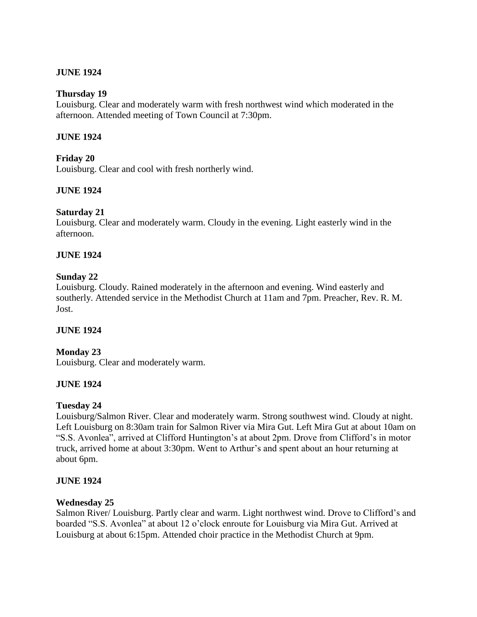## **JUNE 1924**

### **Thursday 19**

Louisburg. Clear and moderately warm with fresh northwest wind which moderated in the afternoon. Attended meeting of Town Council at 7:30pm.

### **JUNE 1924**

### **Friday 20**

Louisburg. Clear and cool with fresh northerly wind.

### **JUNE 1924**

### **Saturday 21**

Louisburg. Clear and moderately warm. Cloudy in the evening. Light easterly wind in the afternoon.

### **JUNE 1924**

### **Sunday 22**

Louisburg. Cloudy. Rained moderately in the afternoon and evening. Wind easterly and southerly. Attended service in the Methodist Church at 11am and 7pm. Preacher, Rev. R. M. Jost.

#### **JUNE 1924**

### **Monday 23**

Louisburg. Clear and moderately warm.

#### **JUNE 1924**

### **Tuesday 24**

Louisburg/Salmon River. Clear and moderately warm. Strong southwest wind. Cloudy at night. Left Louisburg on 8:30am train for Salmon River via Mira Gut. Left Mira Gut at about 10am on "S.S. Avonlea", arrived at Clifford Huntington's at about 2pm. Drove from Clifford's in motor truck, arrived home at about 3:30pm. Went to Arthur's and spent about an hour returning at about 6pm.

#### **JUNE 1924**

#### **Wednesday 25**

Salmon River/ Louisburg. Partly clear and warm. Light northwest wind. Drove to Clifford's and boarded "S.S. Avonlea" at about 12 o'clock enroute for Louisburg via Mira Gut. Arrived at Louisburg at about 6:15pm. Attended choir practice in the Methodist Church at 9pm.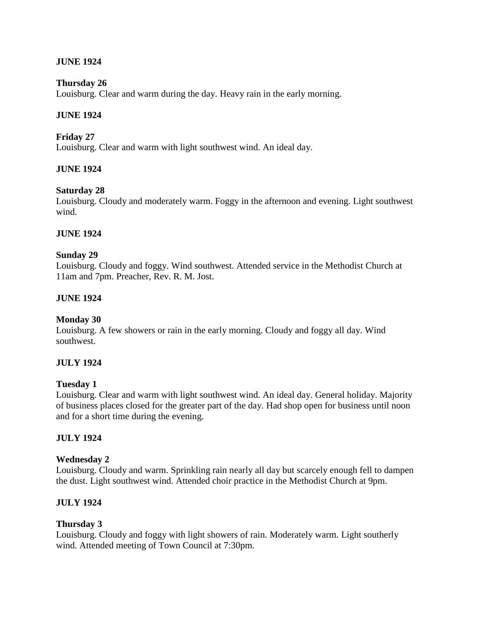## **JUNE 1924**

### **Thursday 26**

Louisburg. Clear and warm during the day. Heavy rain in the early morning.

## **JUNE 1924**

## **Friday 27**

Louisburg. Clear and warm with light southwest wind. An ideal day.

## **JUNE 1924**

## **Saturday 28**

Louisburg. Cloudy and moderately warm. Foggy in the afternoon and evening. Light southwest wind.

### **JUNE 1924**

### **Sunday 29**

Louisburg. Cloudy and foggy. Wind southwest. Attended service in the Methodist Church at 11am and 7pm. Preacher, Rev. R. M. Jost.

### **JUNE 1924**

### **Monday 30**

Louisburg. A few showers or rain in the early morning. Cloudy and foggy all day. Wind southwest.

### **JULY 1924**

### **Tuesday 1**

Louisburg. Clear and warm with light southwest wind. An ideal day. General holiday. Majority of business places closed for the greater part of the day. Had shop open for business until noon and for a short time during the evening.

### **JULY 1924**

### **Wednesday 2**

Louisburg. Cloudy and warm. Sprinkling rain nearly all day but scarcely enough fell to dampen the dust. Light southwest wind. Attended choir practice in the Methodist Church at 9pm.

### **JULY 1924**

### **Thursday 3**

Louisburg. Cloudy and foggy with light showers of rain. Moderately warm. Light southerly wind. Attended meeting of Town Council at 7:30pm.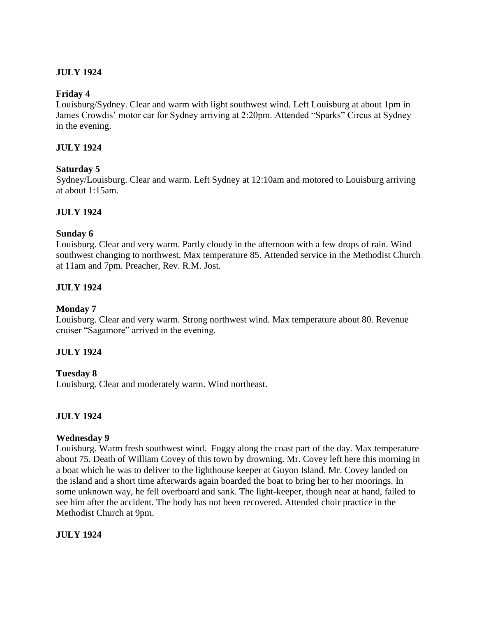# **JULY 1924**

### **Friday 4**

Louisburg/Sydney. Clear and warm with light southwest wind. Left Louisburg at about 1pm in James Crowdis' motor car for Sydney arriving at 2:20pm. Attended "Sparks" Circus at Sydney in the evening.

## **JULY 1924**

### **Saturday 5**

Sydney/Louisburg. Clear and warm. Left Sydney at 12:10am and motored to Louisburg arriving at about 1:15am.

## **JULY 1924**

### **Sunday 6**

Louisburg. Clear and very warm. Partly cloudy in the afternoon with a few drops of rain. Wind southwest changing to northwest. Max temperature 85. Attended service in the Methodist Church at 11am and 7pm. Preacher, Rev. R.M. Jost.

## **JULY 1924**

### **Monday 7**

Louisburg. Clear and very warm. Strong northwest wind. Max temperature about 80. Revenue cruiser "Sagamore" arrived in the evening.

## **JULY 1924**

### **Tuesday 8**

Louisburg. Clear and moderately warm. Wind northeast.

## **JULY 1924**

### **Wednesday 9**

Louisburg. Warm fresh southwest wind. Foggy along the coast part of the day. Max temperature about 75. Death of William Covey of this town by drowning. Mr. Covey left here this morning in a boat which he was to deliver to the lighthouse keeper at Guyon Island. Mr. Covey landed on the island and a short time afterwards again boarded the boat to bring her to her moorings. In some unknown way, he fell overboard and sank. The light-keeper, though near at hand, failed to see him after the accident. The body has not been recovered. Attended choir practice in the Methodist Church at 9pm.

### **JULY 1924**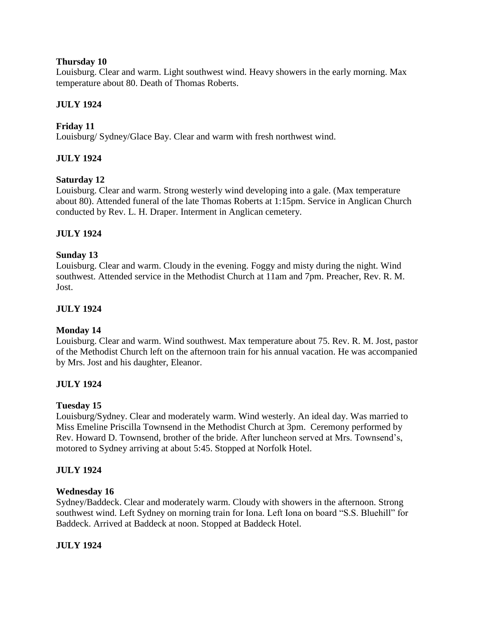## **Thursday 10**

Louisburg. Clear and warm. Light southwest wind. Heavy showers in the early morning. Max temperature about 80. Death of Thomas Roberts.

# **JULY 1924**

# **Friday 11**

Louisburg/ Sydney/Glace Bay. Clear and warm with fresh northwest wind.

## **JULY 1924**

## **Saturday 12**

Louisburg. Clear and warm. Strong westerly wind developing into a gale. (Max temperature about 80). Attended funeral of the late Thomas Roberts at 1:15pm. Service in Anglican Church conducted by Rev. L. H. Draper. Interment in Anglican cemetery.

## **JULY 1924**

## **Sunday 13**

Louisburg. Clear and warm. Cloudy in the evening. Foggy and misty during the night. Wind southwest. Attended service in the Methodist Church at 11am and 7pm. Preacher, Rev. R. M. Jost.

## **JULY 1924**

## **Monday 14**

Louisburg. Clear and warm. Wind southwest. Max temperature about 75. Rev. R. M. Jost, pastor of the Methodist Church left on the afternoon train for his annual vacation. He was accompanied by Mrs. Jost and his daughter, Eleanor.

## **JULY 1924**

## **Tuesday 15**

Louisburg/Sydney. Clear and moderately warm. Wind westerly. An ideal day. Was married to Miss Emeline Priscilla Townsend in the Methodist Church at 3pm. Ceremony performed by Rev. Howard D. Townsend, brother of the bride. After luncheon served at Mrs. Townsend's, motored to Sydney arriving at about 5:45. Stopped at Norfolk Hotel.

## **JULY 1924**

### **Wednesday 16**

Sydney/Baddeck. Clear and moderately warm. Cloudy with showers in the afternoon. Strong southwest wind. Left Sydney on morning train for Iona. Left Iona on board "S.S. Bluehill" for Baddeck. Arrived at Baddeck at noon. Stopped at Baddeck Hotel.

## **JULY 1924**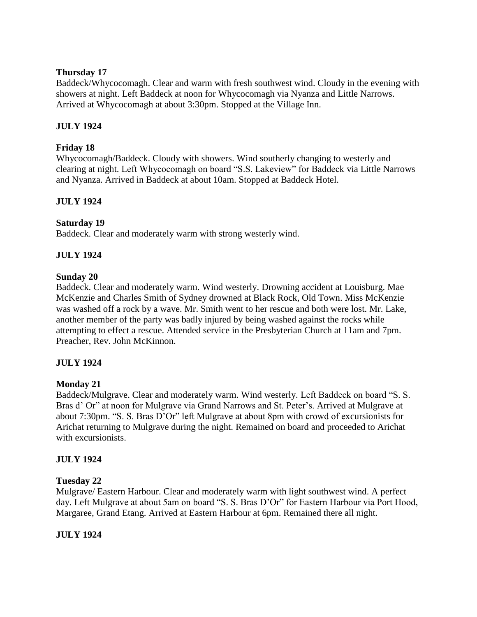## **Thursday 17**

Baddeck/Whycocomagh. Clear and warm with fresh southwest wind. Cloudy in the evening with showers at night. Left Baddeck at noon for Whycocomagh via Nyanza and Little Narrows. Arrived at Whycocomagh at about 3:30pm. Stopped at the Village Inn.

# **JULY 1924**

# **Friday 18**

Whycocomagh/Baddeck. Cloudy with showers. Wind southerly changing to westerly and clearing at night. Left Whycocomagh on board "S.S. Lakeview" for Baddeck via Little Narrows and Nyanza. Arrived in Baddeck at about 10am. Stopped at Baddeck Hotel.

# **JULY 1924**

## **Saturday 19**

Baddeck. Clear and moderately warm with strong westerly wind.

# **JULY 1924**

## **Sunday 20**

Baddeck. Clear and moderately warm. Wind westerly. Drowning accident at Louisburg. Mae McKenzie and Charles Smith of Sydney drowned at Black Rock, Old Town. Miss McKenzie was washed off a rock by a wave. Mr. Smith went to her rescue and both were lost. Mr. Lake, another member of the party was badly injured by being washed against the rocks while attempting to effect a rescue. Attended service in the Presbyterian Church at 11am and 7pm. Preacher, Rev. John McKinnon.

## **JULY 1924**

## **Monday 21**

Baddeck/Mulgrave. Clear and moderately warm. Wind westerly. Left Baddeck on board "S. S. Bras d' Or" at noon for Mulgrave via Grand Narrows and St. Peter's. Arrived at Mulgrave at about 7:30pm. "S. S. Bras D'Or" left Mulgrave at about 8pm with crowd of excursionists for Arichat returning to Mulgrave during the night. Remained on board and proceeded to Arichat with excursionists.

## **JULY 1924**

## **Tuesday 22**

Mulgrave/ Eastern Harbour. Clear and moderately warm with light southwest wind. A perfect day. Left Mulgrave at about 5am on board "S. S. Bras D'Or" for Eastern Harbour via Port Hood, Margaree, Grand Etang. Arrived at Eastern Harbour at 6pm. Remained there all night.

## **JULY 1924**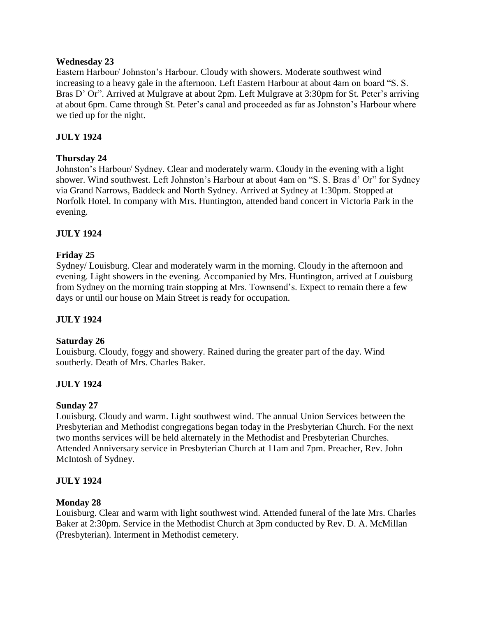### **Wednesday 23**

Eastern Harbour/ Johnston's Harbour. Cloudy with showers. Moderate southwest wind increasing to a heavy gale in the afternoon. Left Eastern Harbour at about 4am on board "S. S. Bras D' Or". Arrived at Mulgrave at about 2pm. Left Mulgrave at 3:30pm for St. Peter's arriving at about 6pm. Came through St. Peter's canal and proceeded as far as Johnston's Harbour where we tied up for the night.

# **JULY 1924**

## **Thursday 24**

Johnston's Harbour/ Sydney. Clear and moderately warm. Cloudy in the evening with a light shower. Wind southwest. Left Johnston's Harbour at about 4am on "S. S. Bras d' Or" for Sydney via Grand Narrows, Baddeck and North Sydney. Arrived at Sydney at 1:30pm. Stopped at Norfolk Hotel. In company with Mrs. Huntington, attended band concert in Victoria Park in the evening.

## **JULY 1924**

## **Friday 25**

Sydney/ Louisburg. Clear and moderately warm in the morning. Cloudy in the afternoon and evening. Light showers in the evening. Accompanied by Mrs. Huntington, arrived at Louisburg from Sydney on the morning train stopping at Mrs. Townsend's. Expect to remain there a few days or until our house on Main Street is ready for occupation.

## **JULY 1924**

### **Saturday 26**

Louisburg. Cloudy, foggy and showery. Rained during the greater part of the day. Wind southerly. Death of Mrs. Charles Baker.

## **JULY 1924**

## **Sunday 27**

Louisburg. Cloudy and warm. Light southwest wind. The annual Union Services between the Presbyterian and Methodist congregations began today in the Presbyterian Church. For the next two months services will be held alternately in the Methodist and Presbyterian Churches. Attended Anniversary service in Presbyterian Church at 11am and 7pm. Preacher, Rev. John McIntosh of Sydney.

## **JULY 1924**

### **Monday 28**

Louisburg. Clear and warm with light southwest wind. Attended funeral of the late Mrs. Charles Baker at 2:30pm. Service in the Methodist Church at 3pm conducted by Rev. D. A. McMillan (Presbyterian). Interment in Methodist cemetery.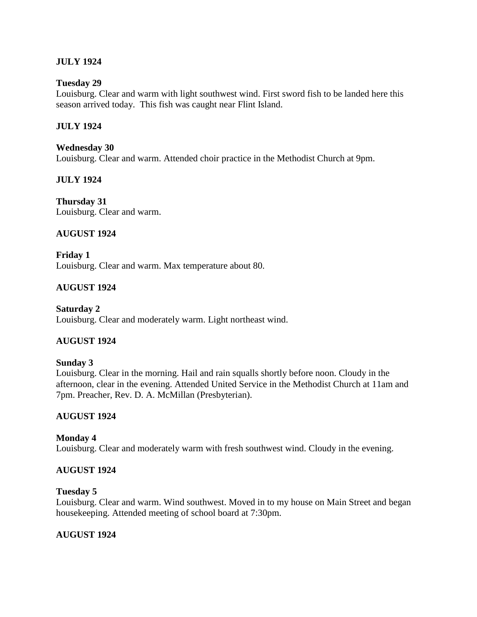## **JULY 1924**

### **Tuesday 29**

Louisburg. Clear and warm with light southwest wind. First sword fish to be landed here this season arrived today. This fish was caught near Flint Island.

### **JULY 1924**

### **Wednesday 30**

Louisburg. Clear and warm. Attended choir practice in the Methodist Church at 9pm.

### **JULY 1924**

**Thursday 31** Louisburg. Clear and warm.

### **AUGUST 1924**

**Friday 1** Louisburg. Clear and warm. Max temperature about 80.

## **AUGUST 1924**

**Saturday 2** Louisburg. Clear and moderately warm. Light northeast wind.

## **AUGUST 1924**

### **Sunday 3**

Louisburg. Clear in the morning. Hail and rain squalls shortly before noon. Cloudy in the afternoon, clear in the evening. Attended United Service in the Methodist Church at 11am and 7pm. Preacher, Rev. D. A. McMillan (Presbyterian).

### **AUGUST 1924**

### **Monday 4**

Louisburg. Clear and moderately warm with fresh southwest wind. Cloudy in the evening.

### **AUGUST 1924**

#### **Tuesday 5**

Louisburg. Clear and warm. Wind southwest. Moved in to my house on Main Street and began housekeeping. Attended meeting of school board at 7:30pm.

### **AUGUST 1924**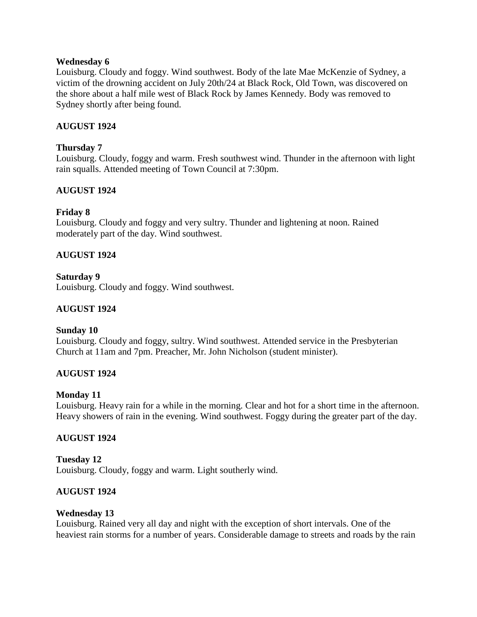### **Wednesday 6**

Louisburg. Cloudy and foggy. Wind southwest. Body of the late Mae McKenzie of Sydney, a victim of the drowning accident on July 20th/24 at Black Rock, Old Town, was discovered on the shore about a half mile west of Black Rock by James Kennedy. Body was removed to Sydney shortly after being found.

## **AUGUST 1924**

## **Thursday 7**

Louisburg. Cloudy, foggy and warm. Fresh southwest wind. Thunder in the afternoon with light rain squalls. Attended meeting of Town Council at 7:30pm.

## **AUGUST 1924**

## **Friday 8**

Louisburg. Cloudy and foggy and very sultry. Thunder and lightening at noon. Rained moderately part of the day. Wind southwest.

## **AUGUST 1924**

**Saturday 9**

Louisburg. Cloudy and foggy. Wind southwest.

### **AUGUST 1924**

### **Sunday 10**

Louisburg. Cloudy and foggy, sultry. Wind southwest. Attended service in the Presbyterian Church at 11am and 7pm. Preacher, Mr. John Nicholson (student minister).

### **AUGUST 1924**

### **Monday 11**

Louisburg. Heavy rain for a while in the morning. Clear and hot for a short time in the afternoon. Heavy showers of rain in the evening. Wind southwest. Foggy during the greater part of the day.

### **AUGUST 1924**

**Tuesday 12** Louisburg. Cloudy, foggy and warm. Light southerly wind.

### **AUGUST 1924**

### **Wednesday 13**

Louisburg. Rained very all day and night with the exception of short intervals. One of the heaviest rain storms for a number of years. Considerable damage to streets and roads by the rain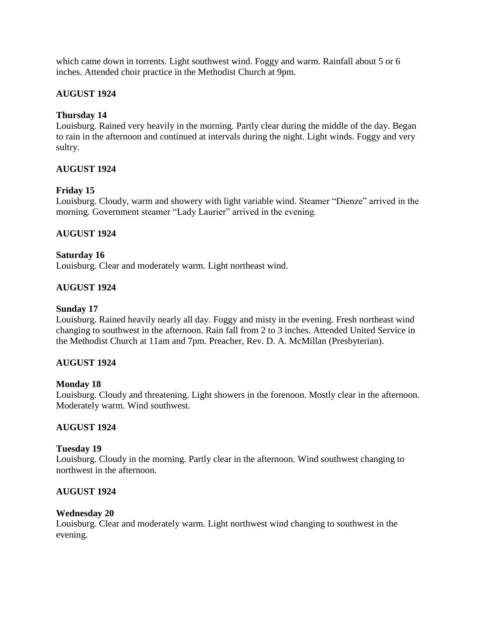which came down in torrents. Light southwest wind. Foggy and warm. Rainfall about 5 or 6 inches. Attended choir practice in the Methodist Church at 9pm.

## **AUGUST 1924**

## **Thursday 14**

Louisburg. Rained very heavily in the morning. Partly clear during the middle of the day. Began to rain in the afternoon and continued at intervals during the night. Light winds. Foggy and very sultry.

## **AUGUST 1924**

## **Friday 15**

Louisburg. Cloudy, warm and showery with light variable wind. Steamer "Dienze" arrived in the morning. Government steamer "Lady Laurier" arrived in the evening.

## **AUGUST 1924**

## **Saturday 16**

Louisburg. Clear and moderately warm. Light northeast wind.

# **AUGUST 1924**

## **Sunday 17**

Louisburg. Rained heavily nearly all day. Foggy and misty in the evening. Fresh northeast wind changing to southwest in the afternoon. Rain fall from 2 to 3 inches. Attended United Service in the Methodist Church at 11am and 7pm. Preacher, Rev. D. A. McMillan (Presbyterian).

## **AUGUST 1924**

## **Monday 18**

Louisburg. Cloudy and threatening. Light showers in the forenoon. Mostly clear in the afternoon. Moderately warm. Wind southwest.

## **AUGUST 1924**

### **Tuesday 19**

Louisburg. Cloudy in the morning. Partly clear in the afternoon. Wind southwest changing to northwest in the afternoon.

## **AUGUST 1924**

### **Wednesday 20**

Louisburg. Clear and moderately warm. Light northwest wind changing to southwest in the evening.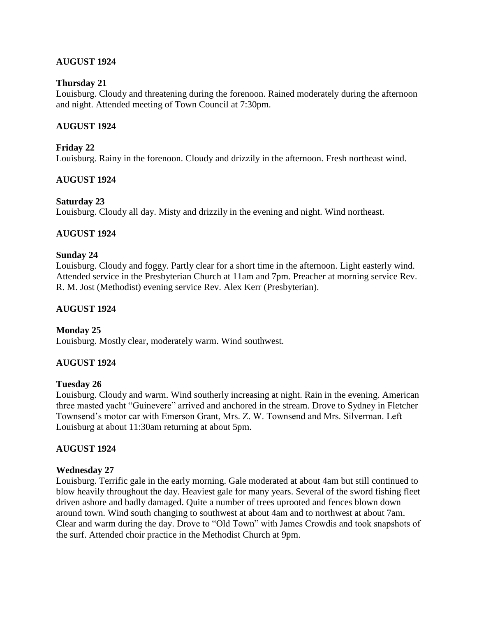## **AUGUST 1924**

### **Thursday 21**

Louisburg. Cloudy and threatening during the forenoon. Rained moderately during the afternoon and night. Attended meeting of Town Council at 7:30pm.

### **AUGUST 1924**

### **Friday 22**

Louisburg. Rainy in the forenoon. Cloudy and drizzily in the afternoon. Fresh northeast wind.

### **AUGUST 1924**

### **Saturday 23**

Louisburg. Cloudy all day. Misty and drizzily in the evening and night. Wind northeast.

### **AUGUST 1924**

### **Sunday 24**

Louisburg. Cloudy and foggy. Partly clear for a short time in the afternoon. Light easterly wind. Attended service in the Presbyterian Church at 11am and 7pm. Preacher at morning service Rev. R. M. Jost (Methodist) evening service Rev. Alex Kerr (Presbyterian).

### **AUGUST 1924**

### **Monday 25**

Louisburg. Mostly clear, moderately warm. Wind southwest.

### **AUGUST 1924**

### **Tuesday 26**

Louisburg. Cloudy and warm. Wind southerly increasing at night. Rain in the evening. American three masted yacht "Guinevere" arrived and anchored in the stream. Drove to Sydney in Fletcher Townsend's motor car with Emerson Grant, Mrs. Z. W. Townsend and Mrs. Silverman. Left Louisburg at about 11:30am returning at about 5pm.

### **AUGUST 1924**

#### **Wednesday 27**

Louisburg. Terrific gale in the early morning. Gale moderated at about 4am but still continued to blow heavily throughout the day. Heaviest gale for many years. Several of the sword fishing fleet driven ashore and badly damaged. Quite a number of trees uprooted and fences blown down around town. Wind south changing to southwest at about 4am and to northwest at about 7am. Clear and warm during the day. Drove to "Old Town" with James Crowdis and took snapshots of the surf. Attended choir practice in the Methodist Church at 9pm.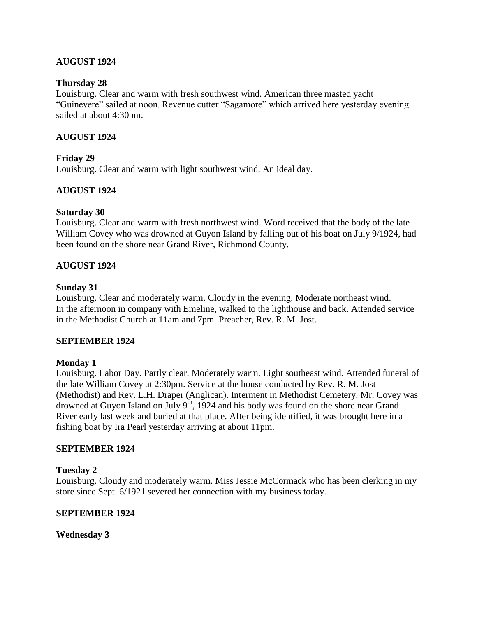## **AUGUST 1924**

### **Thursday 28**

Louisburg. Clear and warm with fresh southwest wind. American three masted yacht "Guinevere" sailed at noon. Revenue cutter "Sagamore" which arrived here yesterday evening sailed at about 4:30pm.

### **AUGUST 1924**

### **Friday 29**

Louisburg. Clear and warm with light southwest wind. An ideal day.

## **AUGUST 1924**

### **Saturday 30**

Louisburg. Clear and warm with fresh northwest wind. Word received that the body of the late William Covey who was drowned at Guyon Island by falling out of his boat on July 9/1924, had been found on the shore near Grand River, Richmond County.

### **AUGUST 1924**

### **Sunday 31**

Louisburg. Clear and moderately warm. Cloudy in the evening. Moderate northeast wind. In the afternoon in company with Emeline, walked to the lighthouse and back. Attended service in the Methodist Church at 11am and 7pm. Preacher, Rev. R. M. Jost.

### **SEPTEMBER 1924**

#### **Monday 1**

Louisburg. Labor Day. Partly clear. Moderately warm. Light southeast wind. Attended funeral of the late William Covey at 2:30pm. Service at the house conducted by Rev. R. M. Jost (Methodist) and Rev. L.H. Draper (Anglican). Interment in Methodist Cemetery. Mr. Covey was drowned at Guyon Island on July  $9<sup>th</sup>$ , 1924 and his body was found on the shore near Grand River early last week and buried at that place. After being identified, it was brought here in a fishing boat by Ira Pearl yesterday arriving at about 11pm.

#### **SEPTEMBER 1924**

### **Tuesday 2**

Louisburg. Cloudy and moderately warm. Miss Jessie McCormack who has been clerking in my store since Sept. 6/1921 severed her connection with my business today.

### **SEPTEMBER 1924**

**Wednesday 3**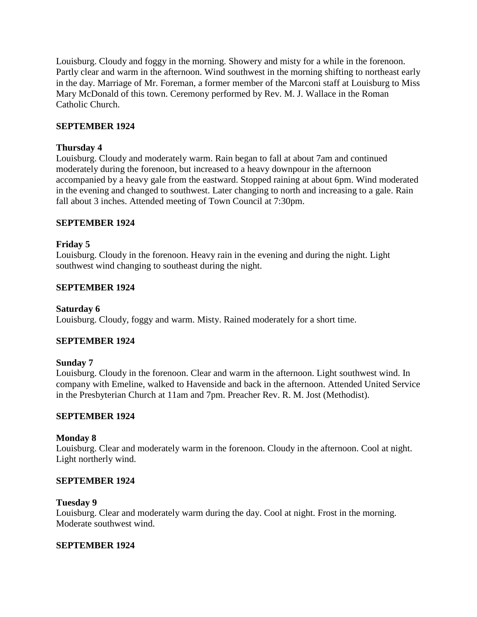Louisburg. Cloudy and foggy in the morning. Showery and misty for a while in the forenoon. Partly clear and warm in the afternoon. Wind southwest in the morning shifting to northeast early in the day. Marriage of Mr. Foreman, a former member of the Marconi staff at Louisburg to Miss Mary McDonald of this town. Ceremony performed by Rev. M. J. Wallace in the Roman Catholic Church.

## **SEPTEMBER 1924**

### **Thursday 4**

Louisburg. Cloudy and moderately warm. Rain began to fall at about 7am and continued moderately during the forenoon, but increased to a heavy downpour in the afternoon accompanied by a heavy gale from the eastward. Stopped raining at about 6pm. Wind moderated in the evening and changed to southwest. Later changing to north and increasing to a gale. Rain fall about 3 inches. Attended meeting of Town Council at 7:30pm.

## **SEPTEMBER 1924**

## **Friday 5**

Louisburg. Cloudy in the forenoon. Heavy rain in the evening and during the night. Light southwest wind changing to southeast during the night.

## **SEPTEMBER 1924**

### **Saturday 6**

Louisburg. Cloudy, foggy and warm. Misty. Rained moderately for a short time.

### **SEPTEMBER 1924**

### **Sunday 7**

Louisburg. Cloudy in the forenoon. Clear and warm in the afternoon. Light southwest wind. In company with Emeline, walked to Havenside and back in the afternoon. Attended United Service in the Presbyterian Church at 11am and 7pm. Preacher Rev. R. M. Jost (Methodist).

### **SEPTEMBER 1924**

### **Monday 8**

Louisburg. Clear and moderately warm in the forenoon. Cloudy in the afternoon. Cool at night. Light northerly wind.

### **SEPTEMBER 1924**

#### **Tuesday 9**

Louisburg. Clear and moderately warm during the day. Cool at night. Frost in the morning. Moderate southwest wind.

### **SEPTEMBER 1924**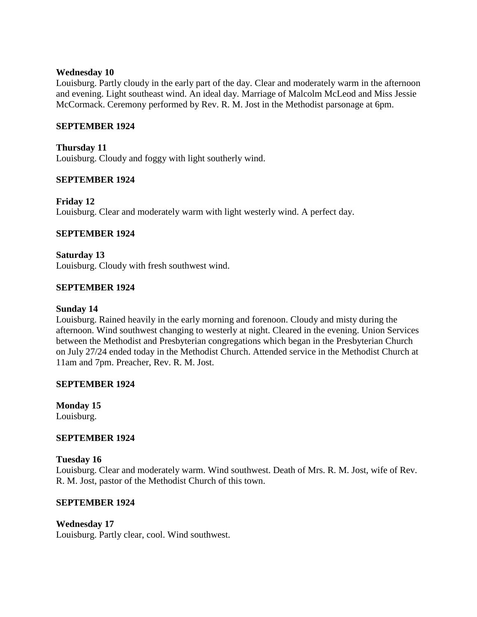### **Wednesday 10**

Louisburg. Partly cloudy in the early part of the day. Clear and moderately warm in the afternoon and evening. Light southeast wind. An ideal day. Marriage of Malcolm McLeod and Miss Jessie McCormack. Ceremony performed by Rev. R. M. Jost in the Methodist parsonage at 6pm.

### **SEPTEMBER 1924**

**Thursday 11** Louisburg. Cloudy and foggy with light southerly wind.

## **SEPTEMBER 1924**

**Friday 12** Louisburg. Clear and moderately warm with light westerly wind. A perfect day.

## **SEPTEMBER 1924**

**Saturday 13** Louisburg. Cloudy with fresh southwest wind.

## **SEPTEMBER 1924**

### **Sunday 14**

Louisburg. Rained heavily in the early morning and forenoon. Cloudy and misty during the afternoon. Wind southwest changing to westerly at night. Cleared in the evening. Union Services between the Methodist and Presbyterian congregations which began in the Presbyterian Church on July 27/24 ended today in the Methodist Church. Attended service in the Methodist Church at 11am and 7pm. Preacher, Rev. R. M. Jost.

### **SEPTEMBER 1924**

**Monday 15** Louisburg.

### **SEPTEMBER 1924**

### **Tuesday 16**

Louisburg. Clear and moderately warm. Wind southwest. Death of Mrs. R. M. Jost, wife of Rev. R. M. Jost, pastor of the Methodist Church of this town.

### **SEPTEMBER 1924**

### **Wednesday 17**

Louisburg. Partly clear, cool. Wind southwest.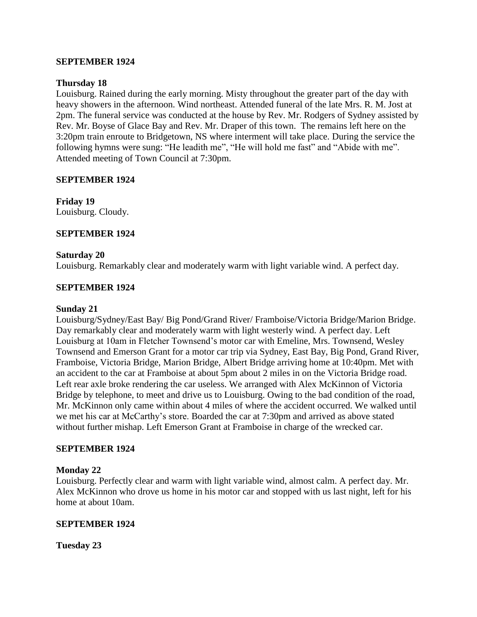### **SEPTEMBER 1924**

### **Thursday 18**

Louisburg. Rained during the early morning. Misty throughout the greater part of the day with heavy showers in the afternoon. Wind northeast. Attended funeral of the late Mrs. R. M. Jost at 2pm. The funeral service was conducted at the house by Rev. Mr. Rodgers of Sydney assisted by Rev. Mr. Boyse of Glace Bay and Rev. Mr. Draper of this town. The remains left here on the 3:20pm train enroute to Bridgetown, NS where interment will take place. During the service the following hymns were sung: "He leadith me", "He will hold me fast" and "Abide with me". Attended meeting of Town Council at 7:30pm.

### **SEPTEMBER 1924**

**Friday 19** Louisburg. Cloudy.

### **SEPTEMBER 1924**

### **Saturday 20**

Louisburg. Remarkably clear and moderately warm with light variable wind. A perfect day.

### **SEPTEMBER 1924**

#### **Sunday 21**

Louisburg/Sydney/East Bay/ Big Pond/Grand River/ Framboise/Victoria Bridge/Marion Bridge. Day remarkably clear and moderately warm with light westerly wind. A perfect day. Left Louisburg at 10am in Fletcher Townsend's motor car with Emeline, Mrs. Townsend, Wesley Townsend and Emerson Grant for a motor car trip via Sydney, East Bay, Big Pond, Grand River, Framboise, Victoria Bridge, Marion Bridge, Albert Bridge arriving home at 10:40pm. Met with an accident to the car at Framboise at about 5pm about 2 miles in on the Victoria Bridge road. Left rear axle broke rendering the car useless. We arranged with Alex McKinnon of Victoria Bridge by telephone, to meet and drive us to Louisburg. Owing to the bad condition of the road, Mr. McKinnon only came within about 4 miles of where the accident occurred. We walked until we met his car at McCarthy's store. Boarded the car at 7:30pm and arrived as above stated without further mishap. Left Emerson Grant at Framboise in charge of the wrecked car.

#### **SEPTEMBER 1924**

#### **Monday 22**

Louisburg. Perfectly clear and warm with light variable wind, almost calm. A perfect day. Mr. Alex McKinnon who drove us home in his motor car and stopped with us last night, left for his home at about 10am.

#### **SEPTEMBER 1924**

**Tuesday 23**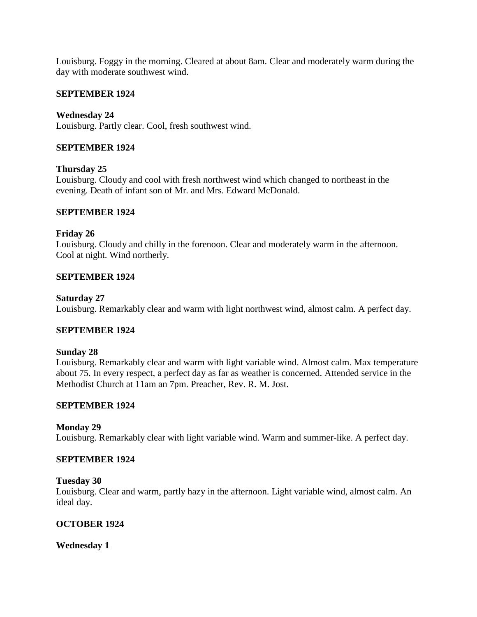Louisburg. Foggy in the morning. Cleared at about 8am. Clear and moderately warm during the day with moderate southwest wind.

### **SEPTEMBER 1924**

**Wednesday 24** Louisburg. Partly clear. Cool, fresh southwest wind.

## **SEPTEMBER 1924**

### **Thursday 25**

Louisburg. Cloudy and cool with fresh northwest wind which changed to northeast in the evening. Death of infant son of Mr. and Mrs. Edward McDonald.

### **SEPTEMBER 1924**

### **Friday 26**

Louisburg. Cloudy and chilly in the forenoon. Clear and moderately warm in the afternoon. Cool at night. Wind northerly.

### **SEPTEMBER 1924**

### **Saturday 27**

Louisburg. Remarkably clear and warm with light northwest wind, almost calm. A perfect day.

### **SEPTEMBER 1924**

### **Sunday 28**

Louisburg. Remarkably clear and warm with light variable wind. Almost calm. Max temperature about 75. In every respect, a perfect day as far as weather is concerned. Attended service in the Methodist Church at 11am an 7pm. Preacher, Rev. R. M. Jost.

### **SEPTEMBER 1924**

### **Monday 29**

Louisburg. Remarkably clear with light variable wind. Warm and summer-like. A perfect day.

#### **SEPTEMBER 1924**

### **Tuesday 30**

Louisburg. Clear and warm, partly hazy in the afternoon. Light variable wind, almost calm. An ideal day.

### **OCTOBER 1924**

### **Wednesday 1**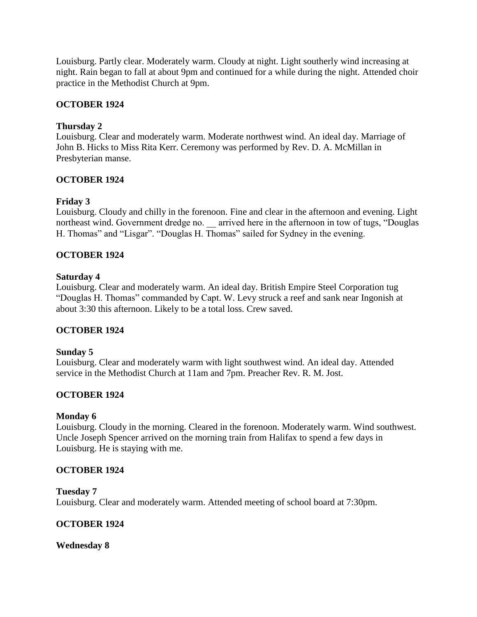Louisburg. Partly clear. Moderately warm. Cloudy at night. Light southerly wind increasing at night. Rain began to fall at about 9pm and continued for a while during the night. Attended choir practice in the Methodist Church at 9pm.

## **OCTOBER 1924**

### **Thursday 2**

Louisburg. Clear and moderately warm. Moderate northwest wind. An ideal day. Marriage of John B. Hicks to Miss Rita Kerr. Ceremony was performed by Rev. D. A. McMillan in Presbyterian manse.

## **OCTOBER 1924**

## **Friday 3**

Louisburg. Cloudy and chilly in the forenoon. Fine and clear in the afternoon and evening. Light northeast wind. Government dredge no. \_\_ arrived here in the afternoon in tow of tugs, "Douglas H. Thomas" and "Lisgar". "Douglas H. Thomas" sailed for Sydney in the evening.

## **OCTOBER 1924**

### **Saturday 4**

Louisburg. Clear and moderately warm. An ideal day. British Empire Steel Corporation tug "Douglas H. Thomas" commanded by Capt. W. Levy struck a reef and sank near Ingonish at about 3:30 this afternoon. Likely to be a total loss. Crew saved.

### **OCTOBER 1924**

### **Sunday 5**

Louisburg. Clear and moderately warm with light southwest wind. An ideal day. Attended service in the Methodist Church at 11am and 7pm. Preacher Rev. R. M. Jost.

### **OCTOBER 1924**

### **Monday 6**

Louisburg. Cloudy in the morning. Cleared in the forenoon. Moderately warm. Wind southwest. Uncle Joseph Spencer arrived on the morning train from Halifax to spend a few days in Louisburg. He is staying with me.

### **OCTOBER 1924**

#### **Tuesday 7**

Louisburg. Clear and moderately warm. Attended meeting of school board at 7:30pm.

### **OCTOBER 1924**

**Wednesday 8**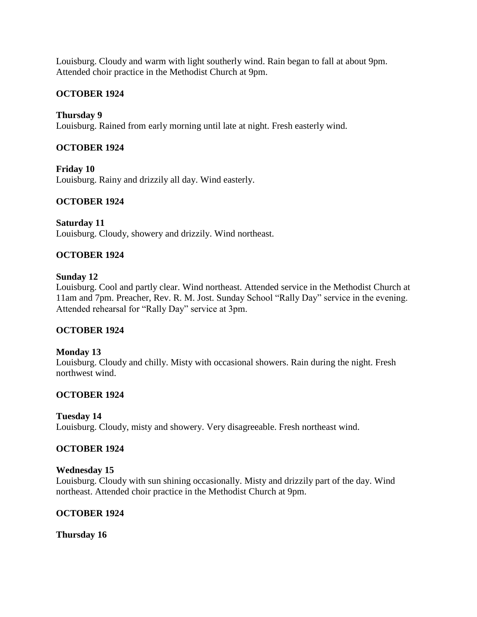Louisburg. Cloudy and warm with light southerly wind. Rain began to fall at about 9pm. Attended choir practice in the Methodist Church at 9pm.

## **OCTOBER 1924**

## **Thursday 9**

Louisburg. Rained from early morning until late at night. Fresh easterly wind.

## **OCTOBER 1924**

**Friday 10** Louisburg. Rainy and drizzily all day. Wind easterly.

## **OCTOBER 1924**

**Saturday 11** Louisburg. Cloudy, showery and drizzily. Wind northeast.

## **OCTOBER 1924**

### **Sunday 12**

Louisburg. Cool and partly clear. Wind northeast. Attended service in the Methodist Church at 11am and 7pm. Preacher, Rev. R. M. Jost. Sunday School "Rally Day" service in the evening. Attended rehearsal for "Rally Day" service at 3pm.

### **OCTOBER 1924**

### **Monday 13**

Louisburg. Cloudy and chilly. Misty with occasional showers. Rain during the night. Fresh northwest wind.

### **OCTOBER 1924**

### **Tuesday 14**

Louisburg. Cloudy, misty and showery. Very disagreeable. Fresh northeast wind.

### **OCTOBER 1924**

### **Wednesday 15**

Louisburg. Cloudy with sun shining occasionally. Misty and drizzily part of the day. Wind northeast. Attended choir practice in the Methodist Church at 9pm.

### **OCTOBER 1924**

**Thursday 16**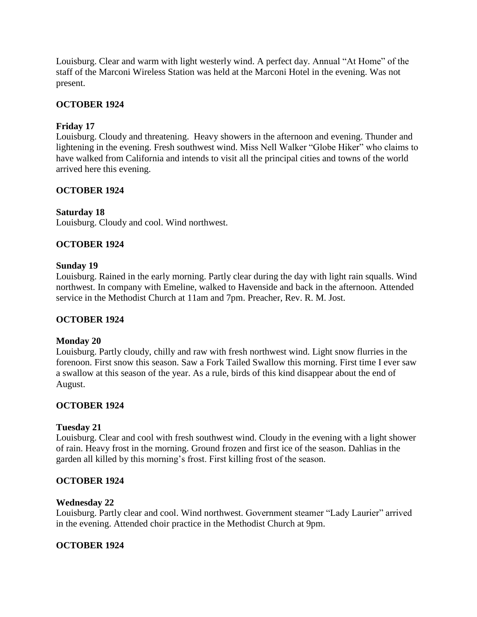Louisburg. Clear and warm with light westerly wind. A perfect day. Annual "At Home" of the staff of the Marconi Wireless Station was held at the Marconi Hotel in the evening. Was not present.

## **OCTOBER 1924**

## **Friday 17**

Louisburg. Cloudy and threatening. Heavy showers in the afternoon and evening. Thunder and lightening in the evening. Fresh southwest wind. Miss Nell Walker "Globe Hiker" who claims to have walked from California and intends to visit all the principal cities and towns of the world arrived here this evening.

## **OCTOBER 1924**

### **Saturday 18**

Louisburg. Cloudy and cool. Wind northwest.

## **OCTOBER 1924**

### **Sunday 19**

Louisburg. Rained in the early morning. Partly clear during the day with light rain squalls. Wind northwest. In company with Emeline, walked to Havenside and back in the afternoon. Attended service in the Methodist Church at 11am and 7pm. Preacher, Rev. R. M. Jost.

### **OCTOBER 1924**

### **Monday 20**

Louisburg. Partly cloudy, chilly and raw with fresh northwest wind. Light snow flurries in the forenoon. First snow this season. Saw a Fork Tailed Swallow this morning. First time I ever saw a swallow at this season of the year. As a rule, birds of this kind disappear about the end of August.

### **OCTOBER 1924**

### **Tuesday 21**

Louisburg. Clear and cool with fresh southwest wind. Cloudy in the evening with a light shower of rain. Heavy frost in the morning. Ground frozen and first ice of the season. Dahlias in the garden all killed by this morning's frost. First killing frost of the season.

### **OCTOBER 1924**

#### **Wednesday 22**

Louisburg. Partly clear and cool. Wind northwest. Government steamer "Lady Laurier" arrived in the evening. Attended choir practice in the Methodist Church at 9pm.

### **OCTOBER 1924**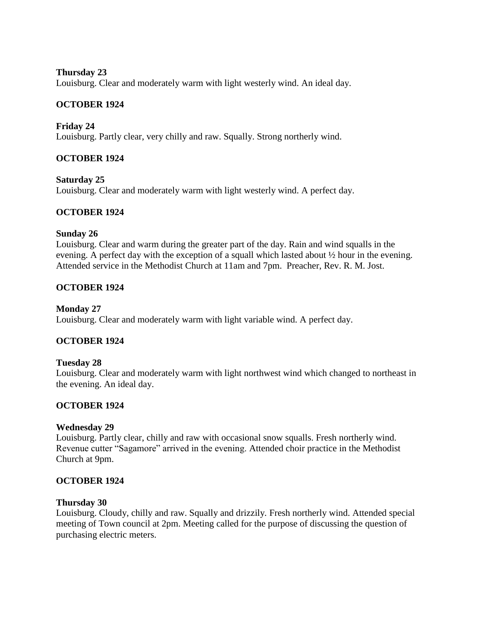## **Thursday 23**

Louisburg. Clear and moderately warm with light westerly wind. An ideal day.

## **OCTOBER 1924**

**Friday 24**

Louisburg. Partly clear, very chilly and raw. Squally. Strong northerly wind.

## **OCTOBER 1924**

**Saturday 25** Louisburg. Clear and moderately warm with light westerly wind. A perfect day.

## **OCTOBER 1924**

### **Sunday 26**

Louisburg. Clear and warm during the greater part of the day. Rain and wind squalls in the evening. A perfect day with the exception of a squall which lasted about ½ hour in the evening. Attended service in the Methodist Church at 11am and 7pm. Preacher, Rev. R. M. Jost.

## **OCTOBER 1924**

### **Monday 27**

Louisburg. Clear and moderately warm with light variable wind. A perfect day.

### **OCTOBER 1924**

### **Tuesday 28**

Louisburg. Clear and moderately warm with light northwest wind which changed to northeast in the evening. An ideal day.

### **OCTOBER 1924**

### **Wednesday 29**

Louisburg. Partly clear, chilly and raw with occasional snow squalls. Fresh northerly wind. Revenue cutter "Sagamore" arrived in the evening. Attended choir practice in the Methodist Church at 9pm.

### **OCTOBER 1924**

### **Thursday 30**

Louisburg. Cloudy, chilly and raw. Squally and drizzily. Fresh northerly wind. Attended special meeting of Town council at 2pm. Meeting called for the purpose of discussing the question of purchasing electric meters.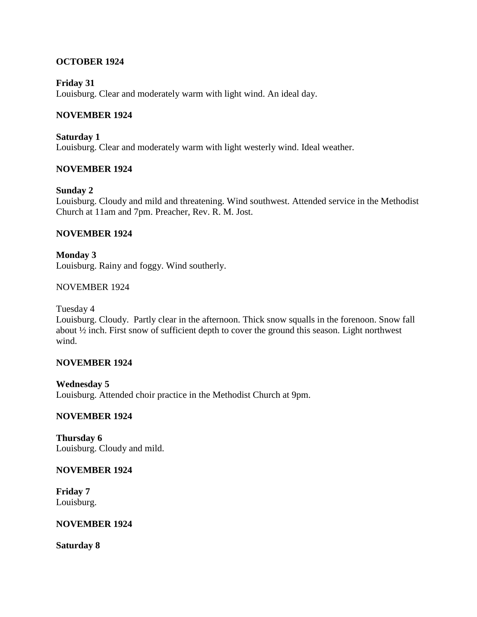## **OCTOBER 1924**

### **Friday 31**

Louisburg. Clear and moderately warm with light wind. An ideal day.

## **NOVEMBER 1924**

**Saturday 1** Louisburg. Clear and moderately warm with light westerly wind. Ideal weather.

## **NOVEMBER 1924**

### **Sunday 2**

Louisburg. Cloudy and mild and threatening. Wind southwest. Attended service in the Methodist Church at 11am and 7pm. Preacher, Rev. R. M. Jost.

### **NOVEMBER 1924**

**Monday 3** Louisburg. Rainy and foggy. Wind southerly.

### NOVEMBER 1924

Tuesday 4

Louisburg. Cloudy. Partly clear in the afternoon. Thick snow squalls in the forenoon. Snow fall about ½ inch. First snow of sufficient depth to cover the ground this season. Light northwest wind.

### **NOVEMBER 1924**

**Wednesday 5** Louisburg. Attended choir practice in the Methodist Church at 9pm.

### **NOVEMBER 1924**

**Thursday 6** Louisburg. Cloudy and mild.

#### **NOVEMBER 1924**

**Friday 7** Louisburg.

#### **NOVEMBER 1924**

**Saturday 8**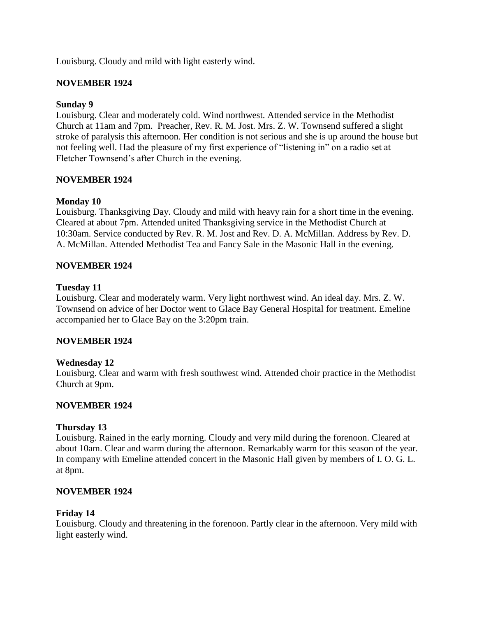Louisburg. Cloudy and mild with light easterly wind.

## **NOVEMBER 1924**

### **Sunday 9**

Louisburg. Clear and moderately cold. Wind northwest. Attended service in the Methodist Church at 11am and 7pm. Preacher, Rev. R. M. Jost. Mrs. Z. W. Townsend suffered a slight stroke of paralysis this afternoon. Her condition is not serious and she is up around the house but not feeling well. Had the pleasure of my first experience of "listening in" on a radio set at Fletcher Townsend's after Church in the evening.

## **NOVEMBER 1924**

## **Monday 10**

Louisburg. Thanksgiving Day. Cloudy and mild with heavy rain for a short time in the evening. Cleared at about 7pm. Attended united Thanksgiving service in the Methodist Church at 10:30am. Service conducted by Rev. R. M. Jost and Rev. D. A. McMillan. Address by Rev. D. A. McMillan. Attended Methodist Tea and Fancy Sale in the Masonic Hall in the evening.

### **NOVEMBER 1924**

### **Tuesday 11**

Louisburg. Clear and moderately warm. Very light northwest wind. An ideal day. Mrs. Z. W. Townsend on advice of her Doctor went to Glace Bay General Hospital for treatment. Emeline accompanied her to Glace Bay on the 3:20pm train.

### **NOVEMBER 1924**

### **Wednesday 12**

Louisburg. Clear and warm with fresh southwest wind. Attended choir practice in the Methodist Church at 9pm.

### **NOVEMBER 1924**

### **Thursday 13**

Louisburg. Rained in the early morning. Cloudy and very mild during the forenoon. Cleared at about 10am. Clear and warm during the afternoon. Remarkably warm for this season of the year. In company with Emeline attended concert in the Masonic Hall given by members of I. O. G. L. at 8pm.

### **NOVEMBER 1924**

### **Friday 14**

Louisburg. Cloudy and threatening in the forenoon. Partly clear in the afternoon. Very mild with light easterly wind.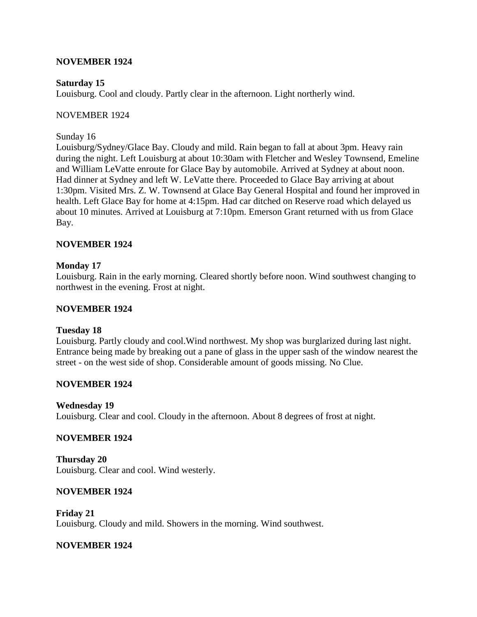### **NOVEMBER 1924**

### **Saturday 15**

Louisburg. Cool and cloudy. Partly clear in the afternoon. Light northerly wind.

### NOVEMBER 1924

### Sunday 16

Louisburg/Sydney/Glace Bay. Cloudy and mild. Rain began to fall at about 3pm. Heavy rain during the night. Left Louisburg at about 10:30am with Fletcher and Wesley Townsend, Emeline and William LeVatte enroute for Glace Bay by automobile. Arrived at Sydney at about noon. Had dinner at Sydney and left W. LeVatte there. Proceeded to Glace Bay arriving at about 1:30pm. Visited Mrs. Z. W. Townsend at Glace Bay General Hospital and found her improved in health. Left Glace Bay for home at 4:15pm. Had car ditched on Reserve road which delayed us about 10 minutes. Arrived at Louisburg at 7:10pm. Emerson Grant returned with us from Glace Bay.

## **NOVEMBER 1924**

## **Monday 17**

Louisburg. Rain in the early morning. Cleared shortly before noon. Wind southwest changing to northwest in the evening. Frost at night.

### **NOVEMBER 1924**

### **Tuesday 18**

Louisburg. Partly cloudy and cool.Wind northwest. My shop was burglarized during last night. Entrance being made by breaking out a pane of glass in the upper sash of the window nearest the street - on the west side of shop. Considerable amount of goods missing. No Clue.

### **NOVEMBER 1924**

### **Wednesday 19**

Louisburg. Clear and cool. Cloudy in the afternoon. About 8 degrees of frost at night.

### **NOVEMBER 1924**

**Thursday 20** Louisburg. Clear and cool. Wind westerly.

### **NOVEMBER 1924**

**Friday 21** Louisburg. Cloudy and mild. Showers in the morning. Wind southwest.

### **NOVEMBER 1924**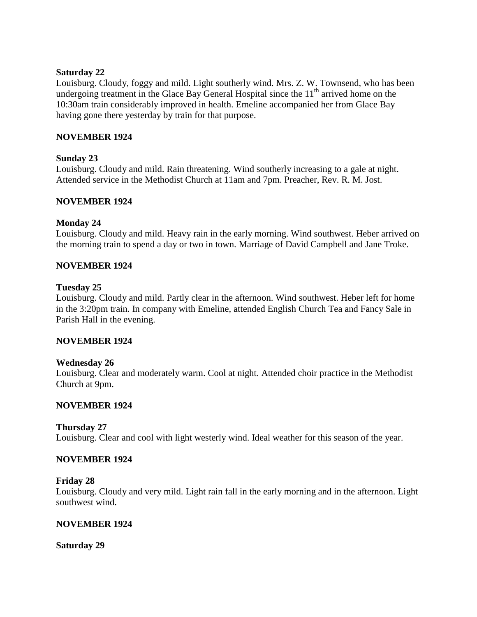### **Saturday 22**

Louisburg. Cloudy, foggy and mild. Light southerly wind. Mrs. Z. W. Townsend, who has been undergoing treatment in the Glace Bay General Hospital since the  $11<sup>th</sup>$  arrived home on the 10:30am train considerably improved in health. Emeline accompanied her from Glace Bay having gone there yesterday by train for that purpose.

### **NOVEMBER 1924**

### **Sunday 23**

Louisburg. Cloudy and mild. Rain threatening. Wind southerly increasing to a gale at night. Attended service in the Methodist Church at 11am and 7pm. Preacher, Rev. R. M. Jost.

## **NOVEMBER 1924**

### **Monday 24**

Louisburg. Cloudy and mild. Heavy rain in the early morning. Wind southwest. Heber arrived on the morning train to spend a day or two in town. Marriage of David Campbell and Jane Troke.

### **NOVEMBER 1924**

### **Tuesday 25**

Louisburg. Cloudy and mild. Partly clear in the afternoon. Wind southwest. Heber left for home in the 3:20pm train. In company with Emeline, attended English Church Tea and Fancy Sale in Parish Hall in the evening.

### **NOVEMBER 1924**

### **Wednesday 26**

Louisburg. Clear and moderately warm. Cool at night. Attended choir practice in the Methodist Church at 9pm.

### **NOVEMBER 1924**

### **Thursday 27**

Louisburg. Clear and cool with light westerly wind. Ideal weather for this season of the year.

### **NOVEMBER 1924**

### **Friday 28**

Louisburg. Cloudy and very mild. Light rain fall in the early morning and in the afternoon. Light southwest wind.

### **NOVEMBER 1924**

**Saturday 29**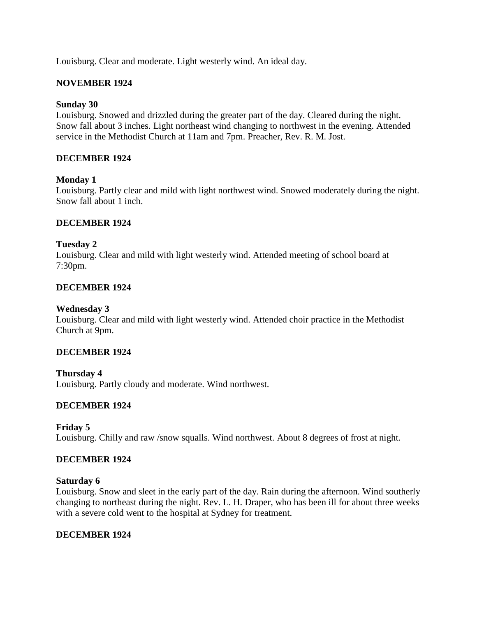Louisburg. Clear and moderate. Light westerly wind. An ideal day.

## **NOVEMBER 1924**

### **Sunday 30**

Louisburg. Snowed and drizzled during the greater part of the day. Cleared during the night. Snow fall about 3 inches. Light northeast wind changing to northwest in the evening. Attended service in the Methodist Church at 11am and 7pm. Preacher, Rev. R. M. Jost.

## **DECEMBER 1924**

### **Monday 1**

Louisburg. Partly clear and mild with light northwest wind. Snowed moderately during the night. Snow fall about 1 inch.

## **DECEMBER 1924**

## **Tuesday 2**

Louisburg. Clear and mild with light westerly wind. Attended meeting of school board at 7:30pm.

## **DECEMBER 1924**

### **Wednesday 3**

Louisburg. Clear and mild with light westerly wind. Attended choir practice in the Methodist Church at 9pm.

### **DECEMBER 1924**

**Thursday 4** Louisburg. Partly cloudy and moderate. Wind northwest.

## **DECEMBER 1924**

### **Friday 5**

Louisburg. Chilly and raw /snow squalls. Wind northwest. About 8 degrees of frost at night.

### **DECEMBER 1924**

### **Saturday 6**

Louisburg. Snow and sleet in the early part of the day. Rain during the afternoon. Wind southerly changing to northeast during the night. Rev. L. H. Draper, who has been ill for about three weeks with a severe cold went to the hospital at Sydney for treatment.

### **DECEMBER 1924**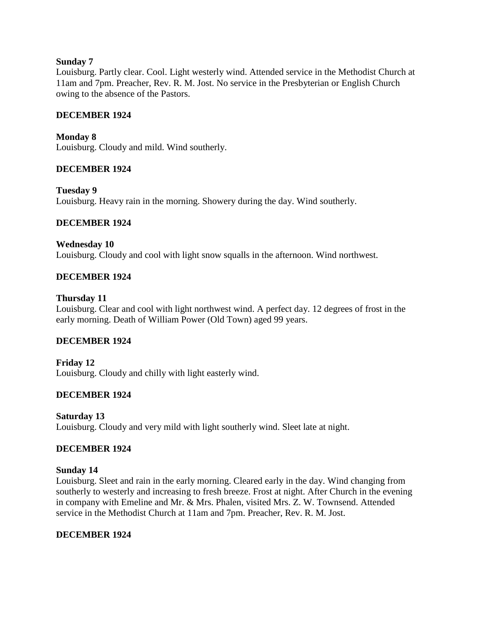### **Sunday 7**

Louisburg. Partly clear. Cool. Light westerly wind. Attended service in the Methodist Church at 11am and 7pm. Preacher, Rev. R. M. Jost. No service in the Presbyterian or English Church owing to the absence of the Pastors.

### **DECEMBER 1924**

**Monday 8** Louisburg. Cloudy and mild. Wind southerly.

### **DECEMBER 1924**

**Tuesday 9**

Louisburg. Heavy rain in the morning. Showery during the day. Wind southerly.

### **DECEMBER 1924**

### **Wednesday 10**

Louisburg. Cloudy and cool with light snow squalls in the afternoon. Wind northwest.

### **DECEMBER 1924**

#### **Thursday 11**

Louisburg. Clear and cool with light northwest wind. A perfect day. 12 degrees of frost in the early morning. Death of William Power (Old Town) aged 99 years.

### **DECEMBER 1924**

**Friday 12** Louisburg. Cloudy and chilly with light easterly wind.

### **DECEMBER 1924**

**Saturday 13** Louisburg. Cloudy and very mild with light southerly wind. Sleet late at night.

### **DECEMBER 1924**

#### **Sunday 14**

Louisburg. Sleet and rain in the early morning. Cleared early in the day. Wind changing from southerly to westerly and increasing to fresh breeze. Frost at night. After Church in the evening in company with Emeline and Mr. & Mrs. Phalen, visited Mrs. Z. W. Townsend. Attended service in the Methodist Church at 11am and 7pm. Preacher, Rev. R. M. Jost.

### **DECEMBER 1924**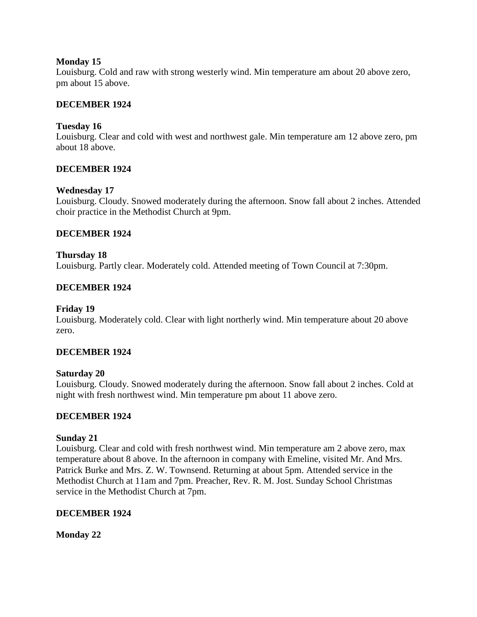### **Monday 15**

Louisburg. Cold and raw with strong westerly wind. Min temperature am about 20 above zero, pm about 15 above.

## **DECEMBER 1924**

### **Tuesday 16**

Louisburg. Clear and cold with west and northwest gale. Min temperature am 12 above zero, pm about 18 above.

## **DECEMBER 1924**

### **Wednesday 17**

Louisburg. Cloudy. Snowed moderately during the afternoon. Snow fall about 2 inches. Attended choir practice in the Methodist Church at 9pm.

### **DECEMBER 1924**

## **Thursday 18** Louisburg. Partly clear. Moderately cold. Attended meeting of Town Council at 7:30pm.

## **DECEMBER 1924**

### **Friday 19**

Louisburg. Moderately cold. Clear with light northerly wind. Min temperature about 20 above zero.

### **DECEMBER 1924**

### **Saturday 20**

Louisburg. Cloudy. Snowed moderately during the afternoon. Snow fall about 2 inches. Cold at night with fresh northwest wind. Min temperature pm about 11 above zero.

### **DECEMBER 1924**

#### **Sunday 21**

Louisburg. Clear and cold with fresh northwest wind. Min temperature am 2 above zero, max temperature about 8 above. In the afternoon in company with Emeline, visited Mr. And Mrs. Patrick Burke and Mrs. Z. W. Townsend. Returning at about 5pm. Attended service in the Methodist Church at 11am and 7pm. Preacher, Rev. R. M. Jost. Sunday School Christmas service in the Methodist Church at 7pm.

### **DECEMBER 1924**

**Monday 22**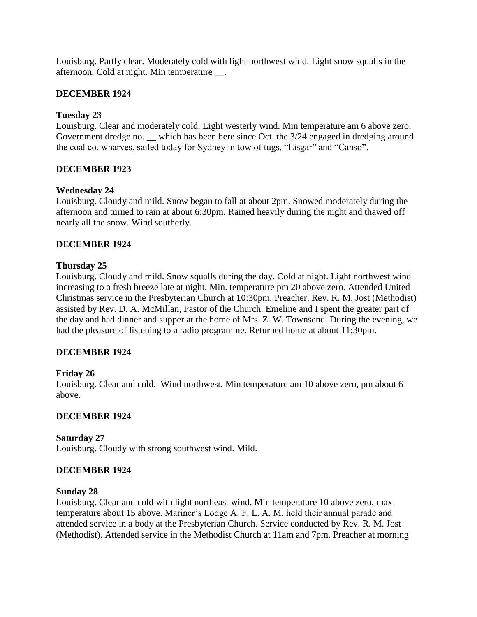Louisburg. Partly clear. Moderately cold with light northwest wind. Light snow squalls in the afternoon. Cold at night. Min temperature \_\_.

## **DECEMBER 1924**

### **Tuesday 23**

Louisburg. Clear and moderately cold. Light westerly wind. Min temperature am 6 above zero. Government dredge no. \_\_ which has been here since Oct. the  $3/24$  engaged in dredging around the coal co. wharves, sailed today for Sydney in tow of tugs, "Lisgar" and "Canso".

## **DECEMBER 1923**

### **Wednesday 24**

Louisburg. Cloudy and mild. Snow began to fall at about 2pm. Snowed moderately during the afternoon and turned to rain at about 6:30pm. Rained heavily during the night and thawed off nearly all the snow. Wind southerly.

## **DECEMBER 1924**

### **Thursday 25**

Louisburg. Cloudy and mild. Snow squalls during the day. Cold at night. Light northwest wind increasing to a fresh breeze late at night. Min. temperature pm 20 above zero. Attended United Christmas service in the Presbyterian Church at 10:30pm. Preacher, Rev. R. M. Jost (Methodist) assisted by Rev. D. A. McMillan, Pastor of the Church. Emeline and I spent the greater part of the day and had dinner and supper at the home of Mrs. Z. W. Townsend. During the evening, we had the pleasure of listening to a radio programme. Returned home at about 11:30pm.

### **DECEMBER 1924**

### **Friday 26**

Louisburg. Clear and cold. Wind northwest. Min temperature am 10 above zero, pm about 6 above.

### **DECEMBER 1924**

### **Saturday 27**

Louisburg. Cloudy with strong southwest wind. Mild.

### **DECEMBER 1924**

#### **Sunday 28**

Louisburg. Clear and cold with light northeast wind. Min temperature 10 above zero, max temperature about 15 above. Mariner's Lodge A. F. L. A. M. held their annual parade and attended service in a body at the Presbyterian Church. Service conducted by Rev. R. M. Jost (Methodist). Attended service in the Methodist Church at 11am and 7pm. Preacher at morning